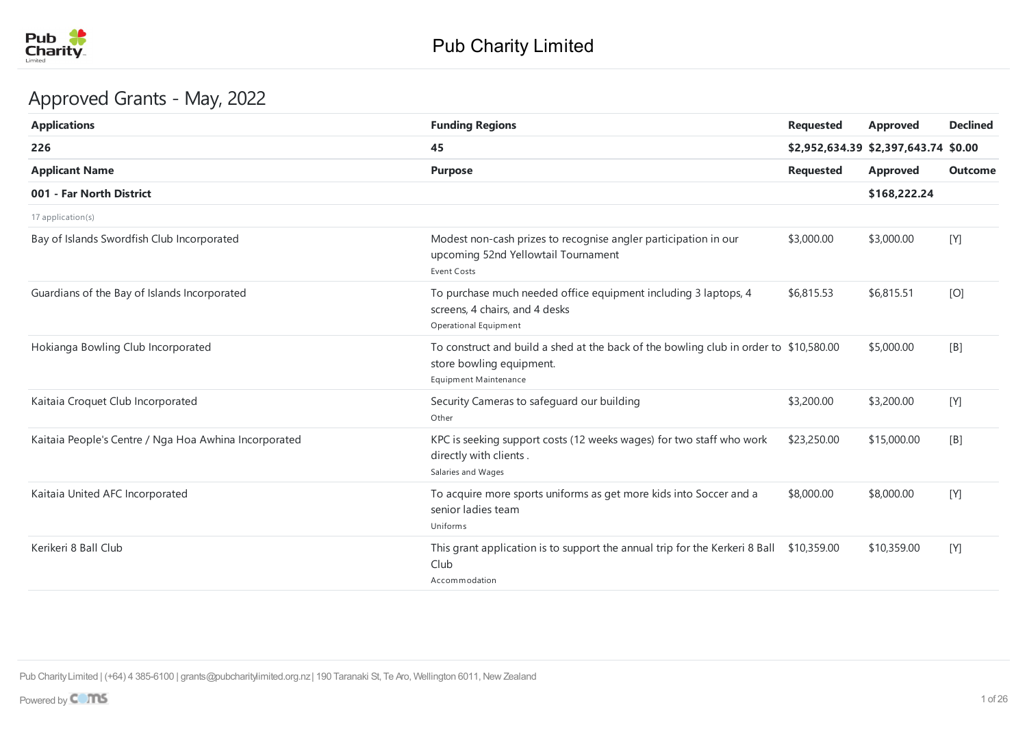

# Approved Grants - May, 2022

| <b>Applications</b>                                   | <b>Funding Regions</b>                                                                                                                     | <b>Requested</b> | <b>Approved</b>                      | <b>Declined</b> |
|-------------------------------------------------------|--------------------------------------------------------------------------------------------------------------------------------------------|------------------|--------------------------------------|-----------------|
| 226                                                   | 45                                                                                                                                         |                  | \$2,952,634.39 \$2,397,643.74 \$0.00 |                 |
| <b>Applicant Name</b>                                 | <b>Purpose</b>                                                                                                                             | <b>Requested</b> | <b>Approved</b>                      | <b>Outcome</b>  |
| 001 - Far North District                              |                                                                                                                                            |                  | \$168,222.24                         |                 |
| 17 application(s)                                     |                                                                                                                                            |                  |                                      |                 |
| Bay of Islands Swordfish Club Incorporated            | Modest non-cash prizes to recognise angler participation in our<br>upcoming 52nd Yellowtail Tournament<br><b>Event Costs</b>               | \$3,000.00       | \$3,000.00                           | [Y]             |
| Guardians of the Bay of Islands Incorporated          | To purchase much needed office equipment including 3 laptops, 4<br>screens, 4 chairs, and 4 desks<br>Operational Equipment                 | \$6,815.53       | \$6,815.51                           | [O]             |
| Hokianga Bowling Club Incorporated                    | To construct and build a shed at the back of the bowling club in order to \$10,580.00<br>store bowling equipment.<br>Equipment Maintenance |                  | \$5,000.00                           | [B]             |
| Kaitaia Croquet Club Incorporated                     | Security Cameras to safeguard our building<br>Other                                                                                        | \$3,200.00       | \$3,200.00                           | [Y]             |
| Kaitaia People's Centre / Nga Hoa Awhina Incorporated | KPC is seeking support costs (12 weeks wages) for two staff who work<br>directly with clients.<br>Salaries and Wages                       | \$23,250.00      | \$15,000.00                          | [B]             |
| Kaitaia United AFC Incorporated                       | To acquire more sports uniforms as get more kids into Soccer and a<br>senior ladies team<br>Uniforms                                       | \$8,000.00       | \$8,000.00                           | [Y]             |
| Kerikeri 8 Ball Club                                  | This grant application is to support the annual trip for the Kerkeri 8 Ball \$10,359.00<br>Club<br>Accommodation                           |                  | \$10,359.00                          | [Y]             |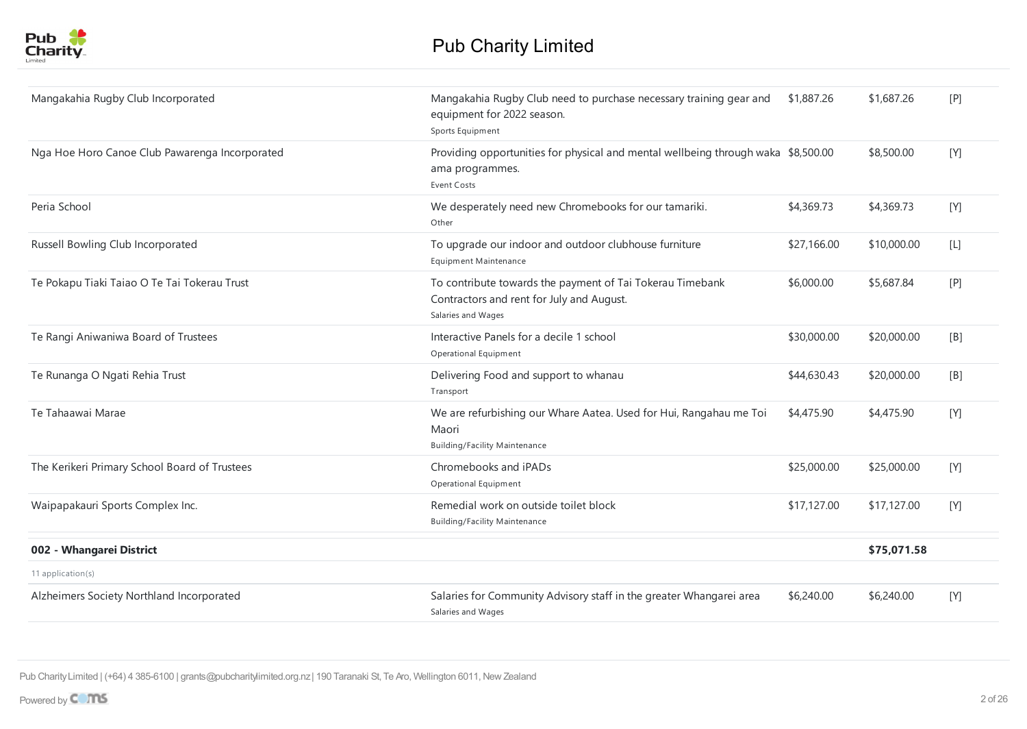

| Mangakahia Rugby Club Incorporated             | Mangakahia Rugby Club need to purchase necessary training gear and<br>equipment for 2022 season.<br>Sports Equipment         | \$1,887.26  | \$1,687.26  | [P]   |
|------------------------------------------------|------------------------------------------------------------------------------------------------------------------------------|-------------|-------------|-------|
| Nga Hoe Horo Canoe Club Pawarenga Incorporated | Providing opportunities for physical and mental wellbeing through waka \$8,500.00<br>ama programmes.<br><b>Event Costs</b>   |             | \$8,500.00  | [Y]   |
| Peria School                                   | We desperately need new Chromebooks for our tamariki.<br>Other                                                               | \$4,369.73  | \$4,369.73  | [Y]   |
| Russell Bowling Club Incorporated              | To upgrade our indoor and outdoor clubhouse furniture<br><b>Equipment Maintenance</b>                                        | \$27,166.00 | \$10,000.00 | $[L]$ |
| Te Pokapu Tiaki Taiao O Te Tai Tokerau Trust   | To contribute towards the payment of Tai Tokerau Timebank<br>Contractors and rent for July and August.<br>Salaries and Wages | \$6,000.00  | \$5,687.84  | [P]   |
| Te Rangi Aniwaniwa Board of Trustees           | Interactive Panels for a decile 1 school<br>Operational Equipment                                                            | \$30,000.00 | \$20,000.00 | [B]   |
| Te Runanga O Ngati Rehia Trust                 | Delivering Food and support to whanau<br>Transport                                                                           | \$44,630.43 | \$20,000.00 | [B]   |
| Te Tahaawai Marae                              | We are refurbishing our Whare Aatea. Used for Hui, Rangahau me Toi<br>Maori<br><b>Building/Facility Maintenance</b>          | \$4,475.90  | \$4,475.90  | [Y]   |
| The Kerikeri Primary School Board of Trustees  | Chromebooks and iPADs<br>Operational Equipment                                                                               | \$25,000.00 | \$25,000.00 | [Y]   |
| Waipapakauri Sports Complex Inc.               | Remedial work on outside toilet block<br><b>Building/Facility Maintenance</b>                                                | \$17,127.00 | \$17,127.00 | [Y]   |
| 002 - Whangarei District                       |                                                                                                                              |             | \$75,071.58 |       |
| 11 application(s)                              |                                                                                                                              |             |             |       |
| Alzheimers Society Northland Incorporated      | Salaries for Community Advisory staff in the greater Whangarei area<br>Salaries and Wages                                    | \$6,240.00  | \$6,240.00  | [Y]   |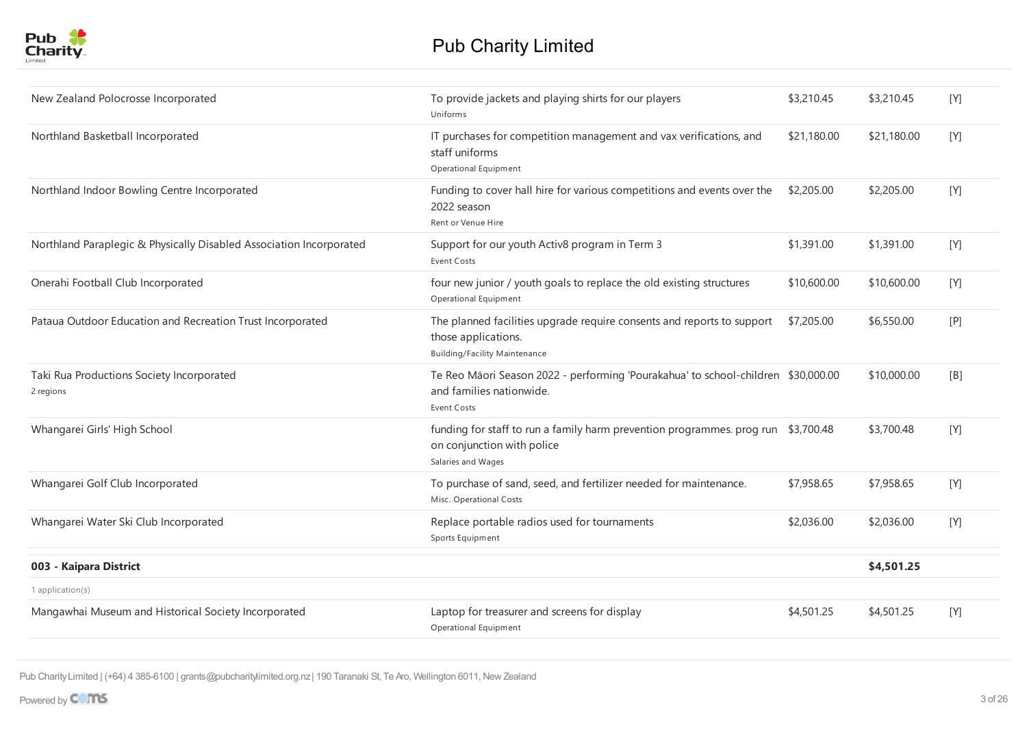

| New Zealand Polocrosse Incorporated                                 | To provide jackets and playing shirts for our players<br>Uniforms                                                                     | \$3,210.45  | \$3,210.45  | [Y] |
|---------------------------------------------------------------------|---------------------------------------------------------------------------------------------------------------------------------------|-------------|-------------|-----|
| Northland Basketball Incorporated                                   | IT purchases for competition management and vax verifications, and<br>staff uniforms<br>Operational Equipment                         | \$21,180.00 | \$21,180.00 | [Y] |
| Northland Indoor Bowling Centre Incorporated                        | Funding to cover hall hire for various competitions and events over the<br>2022 season<br>Rent or Venue Hire                          | \$2,205.00  | \$2,205.00  | [Y] |
| Northland Paraplegic & Physically Disabled Association Incorporated | Support for our youth Activ8 program in Term 3<br>Event Costs                                                                         | \$1,391.00  | \$1,391.00  | [Y] |
| Onerahi Football Club Incorporated                                  | four new junior / youth goals to replace the old existing structures<br>Operational Equipment                                         | \$10,600.00 | \$10,600.00 | [Y] |
| Pataua Outdoor Education and Recreation Trust Incorporated          | The planned facilities upgrade require consents and reports to support<br>those applications.<br><b>Building/Facility Maintenance</b> | \$7,205.00  | \$6,550.00  | [P] |
| Taki Rua Productions Society Incorporated<br>2 regions              | Te Reo Māori Season 2022 - performing 'Pourakahua' to school-children \$30,000.00<br>and families nationwide.<br>Event Costs          |             | \$10,000.00 | [B] |
| Whangarei Girls' High School                                        | funding for staff to run a family harm prevention programmes. prog run \$3,700.48<br>on conjunction with police<br>Salaries and Wages |             | \$3,700.48  | [Y] |
| Whangarei Golf Club Incorporated                                    | To purchase of sand, seed, and fertilizer needed for maintenance.<br>Misc. Operational Costs                                          | \$7,958.65  | \$7,958.65  | [Y] |
| Whangarei Water Ski Club Incorporated                               | Replace portable radios used for tournaments<br>Sports Equipment                                                                      | \$2,036.00  | \$2,036.00  | [Y] |
| 003 - Kaipara District                                              |                                                                                                                                       |             | \$4,501.25  |     |
| 1 application(s)                                                    |                                                                                                                                       |             |             |     |
| Mangawhai Museum and Historical Society Incorporated                | Laptop for treasurer and screens for display<br>Operational Equipment                                                                 | \$4,501.25  | \$4,501.25  | [Y] |
|                                                                     |                                                                                                                                       |             |             |     |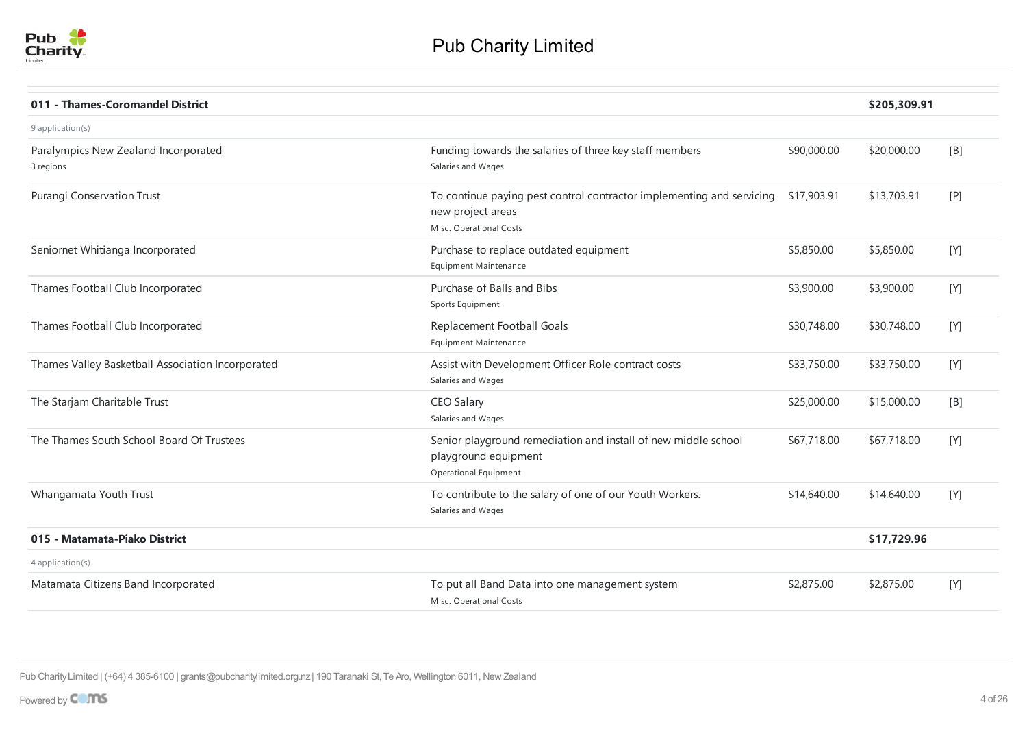

| 011 - Thames-Coromandel District                  |                                                                                                                       |             | \$205,309.91 |                  |
|---------------------------------------------------|-----------------------------------------------------------------------------------------------------------------------|-------------|--------------|------------------|
| $9$ application(s)                                |                                                                                                                       |             |              |                  |
| Paralympics New Zealand Incorporated<br>3 regions | Funding towards the salaries of three key staff members<br>Salaries and Wages                                         | \$90,000.00 | \$20,000.00  | [ <sub>B</sub> ] |
| Purangi Conservation Trust                        | To continue paying pest control contractor implementing and servicing<br>new project areas<br>Misc. Operational Costs | \$17,903.91 | \$13,703.91  | $[$ P            |
| Seniornet Whitianga Incorporated                  | Purchase to replace outdated equipment<br><b>Equipment Maintenance</b>                                                | \$5,850.00  | \$5,850.00   | [Y]              |
| Thames Football Club Incorporated                 | Purchase of Balls and Bibs<br>Sports Equipment                                                                        | \$3,900.00  | \$3,900.00   | [Y]              |
| Thames Football Club Incorporated                 | Replacement Football Goals<br>Equipment Maintenance                                                                   | \$30,748.00 | \$30,748.00  | [Y]              |
| Thames Valley Basketball Association Incorporated | Assist with Development Officer Role contract costs<br>Salaries and Wages                                             | \$33,750.00 | \$33,750.00  | [Y]              |
| The Starjam Charitable Trust                      | CEO Salary<br>Salaries and Wages                                                                                      | \$25,000.00 | \$15,000.00  | [ <sub>B</sub> ] |
| The Thames South School Board Of Trustees         | Senior playground remediation and install of new middle school<br>playground equipment<br>Operational Equipment       | \$67,718.00 | \$67,718.00  | [Y]              |
| Whangamata Youth Trust                            | To contribute to the salary of one of our Youth Workers.<br>Salaries and Wages                                        | \$14,640.00 | \$14,640.00  | [Y]              |
| 015 - Matamata-Piako District                     |                                                                                                                       |             | \$17,729.96  |                  |
| 4 application(s)                                  |                                                                                                                       |             |              |                  |
| Matamata Citizens Band Incorporated               | To put all Band Data into one management system<br>Misc. Operational Costs                                            | \$2,875.00  | \$2,875.00   | [Y]              |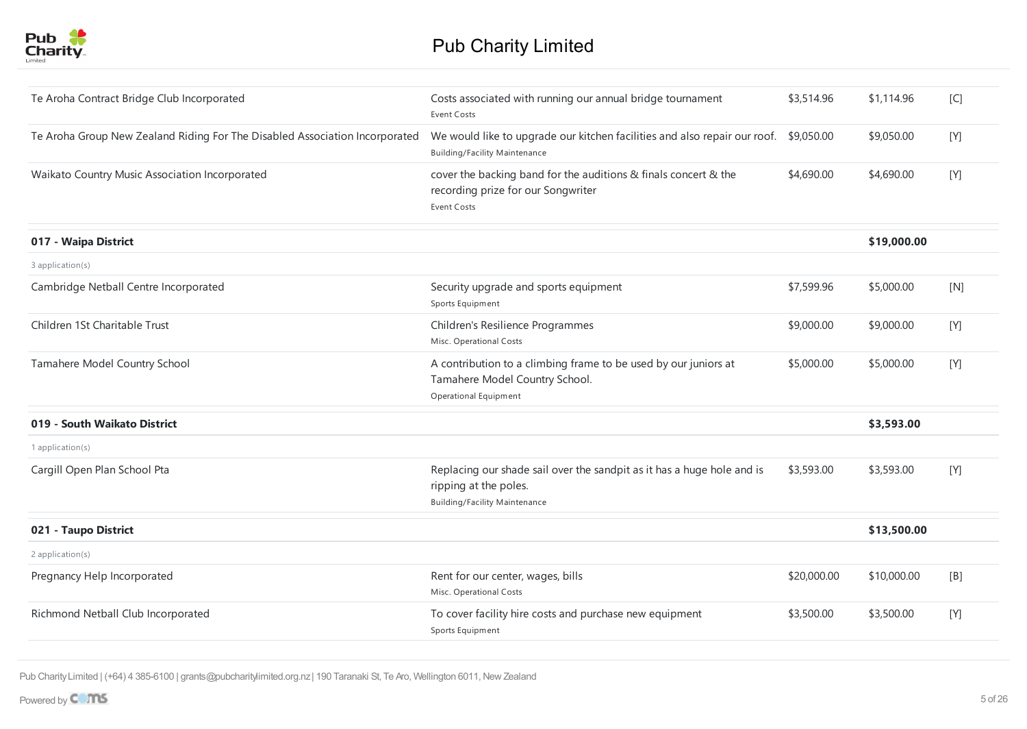

| Te Aroha Contract Bridge Club Incorporated                                  | Costs associated with running our annual bridge tournament<br>Event Costs                                                               | \$3,514.96  | \$1,114.96  | [C] |
|-----------------------------------------------------------------------------|-----------------------------------------------------------------------------------------------------------------------------------------|-------------|-------------|-----|
| Te Aroha Group New Zealand Riding For The Disabled Association Incorporated | We would like to upgrade our kitchen facilities and also repair our roof.<br><b>Building/Facility Maintenance</b>                       | \$9,050.00  | \$9,050.00  | [Y] |
| Waikato Country Music Association Incorporated                              | cover the backing band for the auditions & finals concert & the<br>recording prize for our Songwriter<br><b>Event Costs</b>             | \$4,690.00  | \$4,690.00  | [Y] |
| 017 - Waipa District                                                        |                                                                                                                                         |             | \$19,000.00 |     |
| 3 application(s)                                                            |                                                                                                                                         |             |             |     |
| Cambridge Netball Centre Incorporated                                       | Security upgrade and sports equipment<br>Sports Equipment                                                                               | \$7,599.96  | \$5,000.00  | [N] |
| Children 1St Charitable Trust                                               | Children's Resilience Programmes<br>Misc. Operational Costs                                                                             | \$9,000.00  | \$9,000.00  | [Y] |
| Tamahere Model Country School                                               | A contribution to a climbing frame to be used by our juniors at<br>Tamahere Model Country School.<br>Operational Equipment              | \$5,000.00  | \$5,000.00  | [Y] |
| 019 - South Waikato District                                                |                                                                                                                                         |             | \$3,593.00  |     |
| 1 application(s)                                                            |                                                                                                                                         |             |             |     |
| Cargill Open Plan School Pta                                                | Replacing our shade sail over the sandpit as it has a huge hole and is<br>ripping at the poles.<br><b>Building/Facility Maintenance</b> | \$3,593.00  | \$3,593.00  | [Y] |
| 021 - Taupo District                                                        |                                                                                                                                         |             | \$13,500.00 |     |
| $2$ application(s)                                                          |                                                                                                                                         |             |             |     |
| Pregnancy Help Incorporated                                                 | Rent for our center, wages, bills<br>Misc. Operational Costs                                                                            | \$20,000.00 | \$10,000.00 | [B] |
| Richmond Netball Club Incorporated                                          | To cover facility hire costs and purchase new equipment<br>Sports Equipment                                                             | \$3,500.00  | \$3,500.00  | [Y] |
|                                                                             |                                                                                                                                         |             |             |     |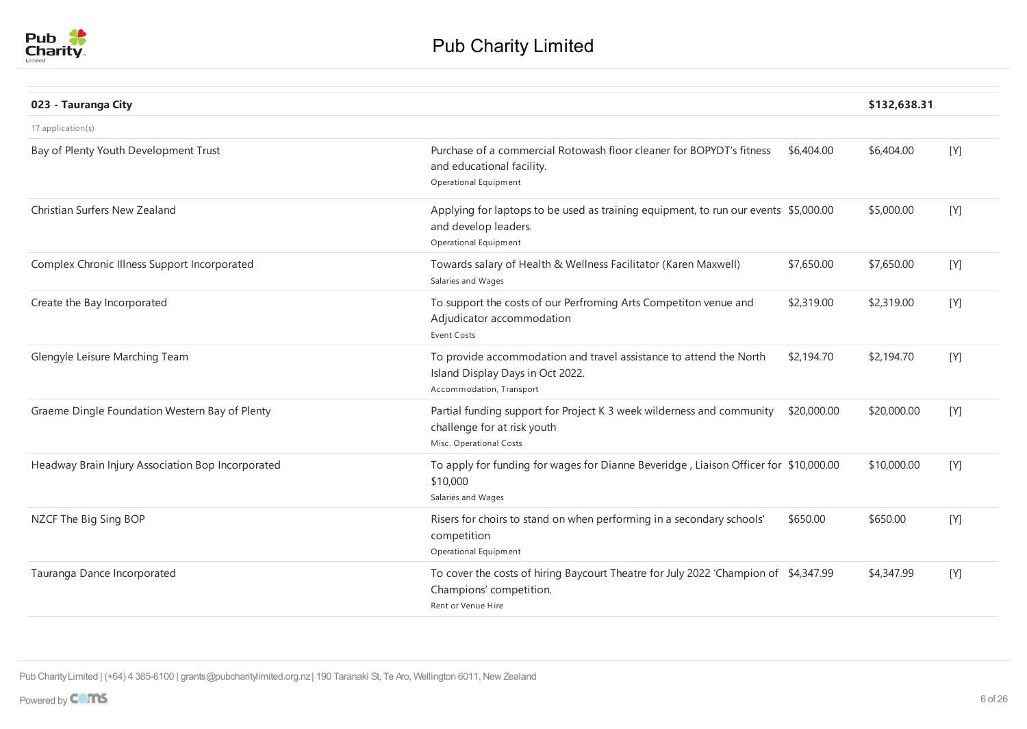

| 023 - Tauranga City                               |                                                                                                                                      |             | \$132,638.31 |     |
|---------------------------------------------------|--------------------------------------------------------------------------------------------------------------------------------------|-------------|--------------|-----|
| 17 application(s)                                 |                                                                                                                                      |             |              |     |
| Bay of Plenty Youth Development Trust             | Purchase of a commercial Rotowash floor cleaner for BOPYDT's fitness<br>and educational facility.<br>Operational Equipment           | \$6,404.00  | \$6,404.00   | [Y] |
| Christian Surfers New Zealand                     | Applying for laptops to be used as training equipment, to run our events \$5,000.00<br>and develop leaders.<br>Operational Equipment |             | \$5,000.00   | [Y] |
| Complex Chronic Illness Support Incorporated      | Towards salary of Health & Wellness Facilitator (Karen Maxwell)<br>Salaries and Wages                                                | \$7,650.00  | \$7,650.00   | [Y] |
| Create the Bay Incorporated                       | To support the costs of our Perfroming Arts Competiton venue and<br>Adjudicator accommodation<br><b>Event Costs</b>                  | \$2,319.00  | \$2,319.00   | [Y] |
| Glengyle Leisure Marching Team                    | To provide accommodation and travel assistance to attend the North<br>Island Display Days in Oct 2022.<br>Accommodation, Transport   | \$2,194.70  | \$2,194.70   | [Y] |
| Graeme Dingle Foundation Western Bay of Plenty    | Partial funding support for Project K 3 week wilderness and community<br>challenge for at risk youth<br>Misc. Operational Costs      | \$20,000.00 | \$20,000.00  | [Y] |
| Headway Brain Injury Association Bop Incorporated | To apply for funding for wages for Dianne Beveridge, Liaison Officer for \$10,000.00<br>\$10,000<br>Salaries and Wages               |             | \$10,000.00  | [Y] |
| NZCF The Big Sing BOP                             | Risers for choirs to stand on when performing in a secondary schools'<br>competition<br>Operational Equipment                        | \$650.00    | \$650.00     | [Y] |
| Tauranga Dance Incorporated                       | To cover the costs of hiring Baycourt Theatre for July 2022 'Champion of \$4,347.99<br>Champions' competition.<br>Rent or Venue Hire |             | \$4,347.99   | [Y] |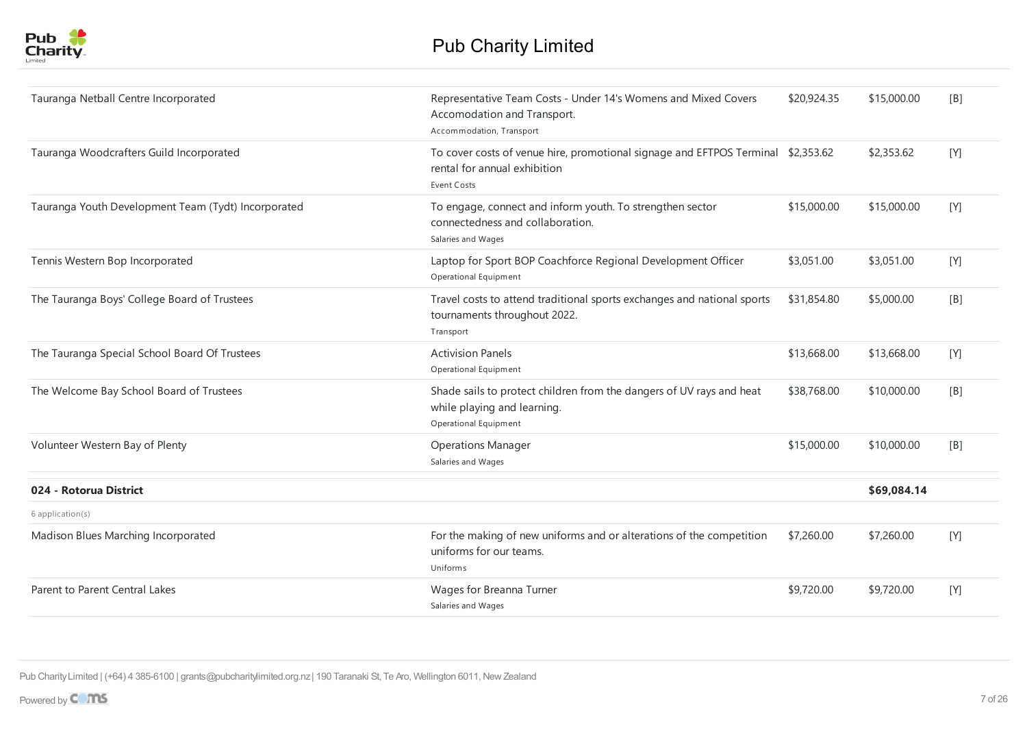

| Tauranga Netball Centre Incorporated                | Representative Team Costs - Under 14's Womens and Mixed Covers<br>Accomodation and Transport.<br>Accommodation, Transport              | \$20,924.35 | \$15,000.00 | [B] |
|-----------------------------------------------------|----------------------------------------------------------------------------------------------------------------------------------------|-------------|-------------|-----|
| Tauranga Woodcrafters Guild Incorporated            | To cover costs of venue hire, promotional signage and EFTPOS Terminal \$2,353.62<br>rental for annual exhibition<br><b>Event Costs</b> |             | \$2,353.62  | [Y] |
| Tauranga Youth Development Team (Tydt) Incorporated | To engage, connect and inform youth. To strengthen sector<br>connectedness and collaboration.<br>Salaries and Wages                    | \$15,000.00 | \$15,000.00 | [Y] |
| Tennis Western Bop Incorporated                     | Laptop for Sport BOP Coachforce Regional Development Officer<br>Operational Equipment                                                  | \$3,051.00  | \$3,051.00  | [Y] |
| The Tauranga Boys' College Board of Trustees        | Travel costs to attend traditional sports exchanges and national sports<br>tournaments throughout 2022.<br>Transport                   | \$31,854.80 | \$5,000.00  | [B] |
| The Tauranga Special School Board Of Trustees       | <b>Activision Panels</b><br>Operational Equipment                                                                                      | \$13,668.00 | \$13,668.00 | [Y] |
| The Welcome Bay School Board of Trustees            | Shade sails to protect children from the dangers of UV rays and heat<br>while playing and learning.<br>Operational Equipment           | \$38,768.00 | \$10,000.00 | [B] |
| Volunteer Western Bay of Plenty                     | <b>Operations Manager</b><br>Salaries and Wages                                                                                        | \$15,000.00 | \$10,000.00 | [B] |
| 024 - Rotorua District                              |                                                                                                                                        |             | \$69,084.14 |     |
| 6 application(s)                                    |                                                                                                                                        |             |             |     |
| Madison Blues Marching Incorporated                 | For the making of new uniforms and or alterations of the competition<br>uniforms for our teams.<br>Uniforms                            | \$7,260.00  | \$7,260.00  | [Y] |
| Parent to Parent Central Lakes                      | Wages for Breanna Turner<br>Salaries and Wages                                                                                         | \$9,720.00  | \$9,720.00  | [Y] |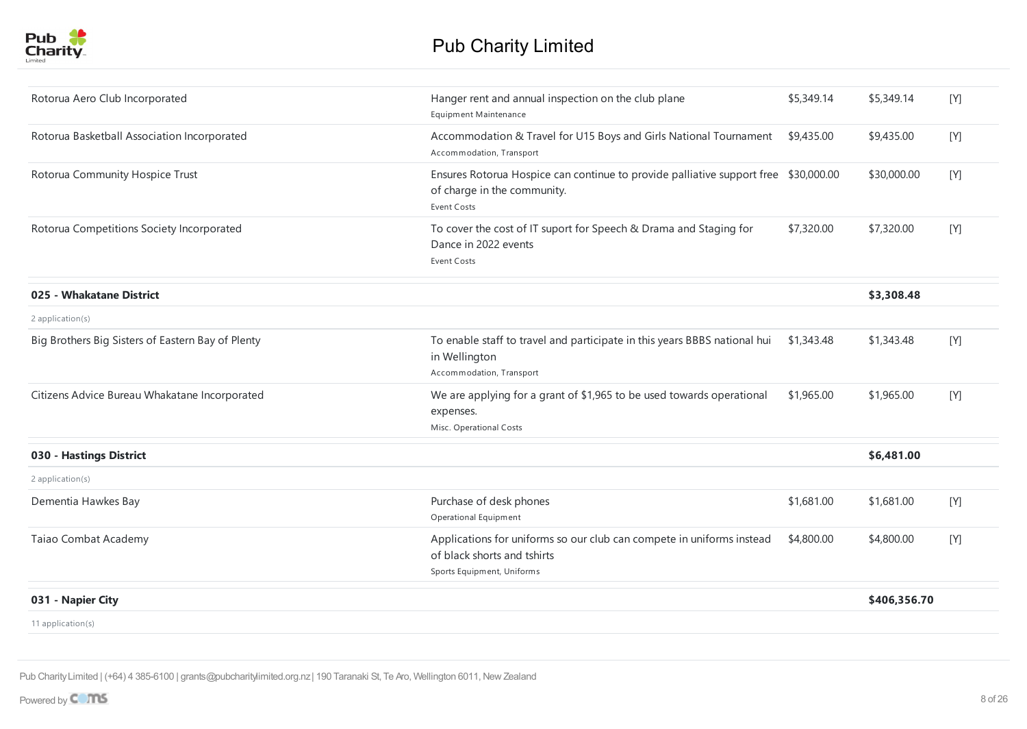| Rotorua Aero Club Incorporated                    | Hanger rent and annual inspection on the club plane<br><b>Equipment Maintenance</b>                                                      | \$5,349.14 | \$5,349.14   | [Y]     |
|---------------------------------------------------|------------------------------------------------------------------------------------------------------------------------------------------|------------|--------------|---------|
| Rotorua Basketball Association Incorporated       | Accommodation & Travel for U15 Boys and Girls National Tournament<br>Accommodation, Transport                                            | \$9,435.00 | \$9,435.00   | [Y]     |
| Rotorua Community Hospice Trust                   | Ensures Rotorua Hospice can continue to provide palliative support free \$30,000.00<br>of charge in the community.<br><b>Event Costs</b> |            | \$30,000.00  | $[ Y ]$ |
| Rotorua Competitions Society Incorporated         | To cover the cost of IT suport for Speech & Drama and Staging for<br>Dance in 2022 events<br><b>Event Costs</b>                          | \$7,320.00 | \$7,320.00   | [Y]     |
| 025 - Whakatane District                          |                                                                                                                                          |            | \$3,308.48   |         |
| 2 application(s)                                  |                                                                                                                                          |            |              |         |
| Big Brothers Big Sisters of Eastern Bay of Plenty | To enable staff to travel and participate in this years BBBS national hui<br>in Wellington<br>Accommodation, Transport                   | \$1,343.48 | \$1,343.48   | [Y]     |
| Citizens Advice Bureau Whakatane Incorporated     | We are applying for a grant of \$1,965 to be used towards operational<br>expenses.<br>Misc. Operational Costs                            | \$1,965.00 | \$1,965.00   | $[ Y ]$ |
| 030 - Hastings District                           |                                                                                                                                          |            | \$6,481.00   |         |
| 2 application(s)                                  |                                                                                                                                          |            |              |         |
| Dementia Hawkes Bay                               | Purchase of desk phones<br>Operational Equipment                                                                                         | \$1,681.00 | \$1,681.00   | [Y]     |
| Taiao Combat Academy                              | Applications for uniforms so our club can compete in uniforms instead<br>of black shorts and tshirts<br>Sports Equipment, Uniforms       | \$4,800.00 | \$4,800.00   | [Y]     |
| 031 - Napier City                                 |                                                                                                                                          |            | \$406,356.70 |         |
| 11 application(s)                                 |                                                                                                                                          |            |              |         |
|                                                   |                                                                                                                                          |            |              |         |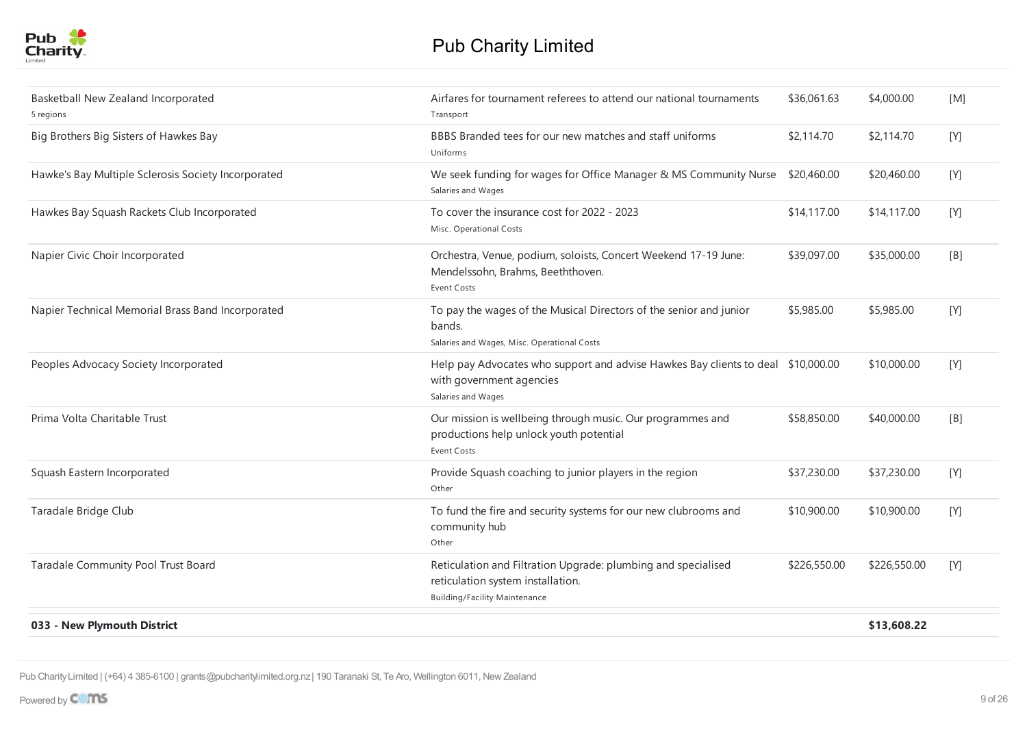| Basketball New Zealand Incorporated<br>5 regions    | Airfares for tournament referees to attend our national tournaments<br>Transport                                                           | \$36,061.63  | \$4,000.00   | [M] |
|-----------------------------------------------------|--------------------------------------------------------------------------------------------------------------------------------------------|--------------|--------------|-----|
| Big Brothers Big Sisters of Hawkes Bay              | BBBS Branded tees for our new matches and staff uniforms<br>Uniforms                                                                       | \$2,114.70   | \$2,114.70   | [Y] |
| Hawke's Bay Multiple Sclerosis Society Incorporated | We seek funding for wages for Office Manager & MS Community Nurse<br>Salaries and Wages                                                    | \$20,460.00  | \$20,460.00  | [Y] |
| Hawkes Bay Squash Rackets Club Incorporated         | To cover the insurance cost for 2022 - 2023<br>Misc. Operational Costs                                                                     | \$14,117.00  | \$14,117.00  | [Y] |
| Napier Civic Choir Incorporated                     | Orchestra, Venue, podium, soloists, Concert Weekend 17-19 June:<br>Mendelssohn, Brahms, Beeththoven.<br><b>Event Costs</b>                 | \$39,097.00  | \$35,000.00  | [B] |
| Napier Technical Memorial Brass Band Incorporated   | To pay the wages of the Musical Directors of the senior and junior<br>bands.<br>Salaries and Wages, Misc. Operational Costs                | \$5,985.00   | \$5,985.00   | [Y] |
| Peoples Advocacy Society Incorporated               | Help pay Advocates who support and advise Hawkes Bay clients to deal \$10,000.00<br>with government agencies<br>Salaries and Wages         |              | \$10,000.00  | [Y] |
| Prima Volta Charitable Trust                        | Our mission is wellbeing through music. Our programmes and<br>productions help unlock youth potential<br><b>Event Costs</b>                | \$58,850.00  | \$40,000.00  | [B] |
| Squash Eastern Incorporated                         | Provide Squash coaching to junior players in the region<br>Other                                                                           | \$37,230.00  | \$37,230.00  | [Y] |
| Taradale Bridge Club                                | To fund the fire and security systems for our new clubrooms and<br>community hub<br>Other                                                  | \$10,900.00  | \$10,900.00  | [Y] |
| Taradale Community Pool Trust Board                 | Reticulation and Filtration Upgrade: plumbing and specialised<br>reticulation system installation.<br><b>Building/Facility Maintenance</b> | \$226,550.00 | \$226,550.00 | [Y] |
| 033 - New Plymouth District                         |                                                                                                                                            |              | \$13,608.22  |     |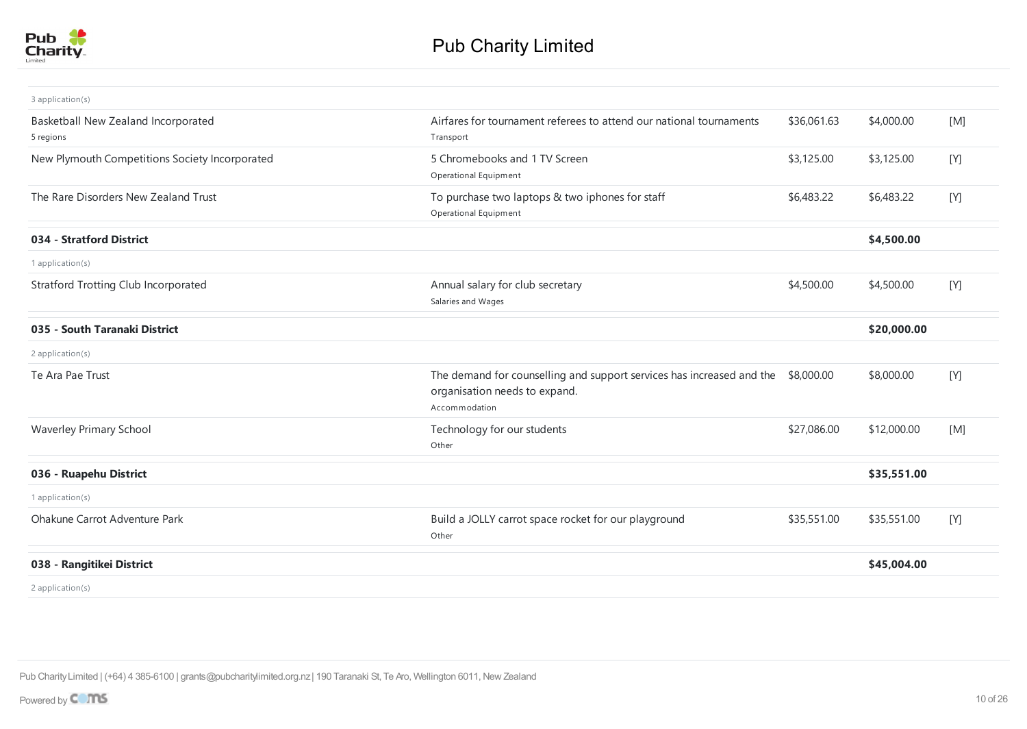

| 3 application(s)                                 |                                                                                                                                    |             |             |     |
|--------------------------------------------------|------------------------------------------------------------------------------------------------------------------------------------|-------------|-------------|-----|
| Basketball New Zealand Incorporated<br>5 regions | Airfares for tournament referees to attend our national tournaments<br>Transport                                                   | \$36,061.63 | \$4,000.00  | [M] |
| New Plymouth Competitions Society Incorporated   | 5 Chromebooks and 1 TV Screen<br>Operational Equipment                                                                             | \$3,125.00  | \$3,125.00  | [Y] |
| The Rare Disorders New Zealand Trust             | To purchase two laptops & two iphones for staff<br>Operational Equipment                                                           | \$6,483.22  | \$6,483.22  | [Y] |
| 034 - Stratford District                         |                                                                                                                                    |             | \$4,500.00  |     |
| 1 application(s)                                 |                                                                                                                                    |             |             |     |
| <b>Stratford Trotting Club Incorporated</b>      | Annual salary for club secretary<br>Salaries and Wages                                                                             | \$4,500.00  | \$4,500.00  | [Y] |
| 035 - South Taranaki District                    |                                                                                                                                    |             | \$20,000.00 |     |
| 2 application(s)                                 |                                                                                                                                    |             |             |     |
| Te Ara Pae Trust                                 | The demand for counselling and support services has increased and the \$8,000.00<br>organisation needs to expand.<br>Accommodation |             | \$8,000.00  | [Y] |
| Waverley Primary School                          | Technology for our students<br>Other                                                                                               | \$27,086.00 | \$12,000.00 | [M] |
| 036 - Ruapehu District                           |                                                                                                                                    |             | \$35,551.00 |     |
| 1 application(s)                                 |                                                                                                                                    |             |             |     |
| Ohakune Carrot Adventure Park                    | Build a JOLLY carrot space rocket for our playground<br>Other                                                                      | \$35,551.00 | \$35,551.00 | [Y] |
| 038 - Rangitikei District                        |                                                                                                                                    |             | \$45,004.00 |     |
| 2 application(s)                                 |                                                                                                                                    |             |             |     |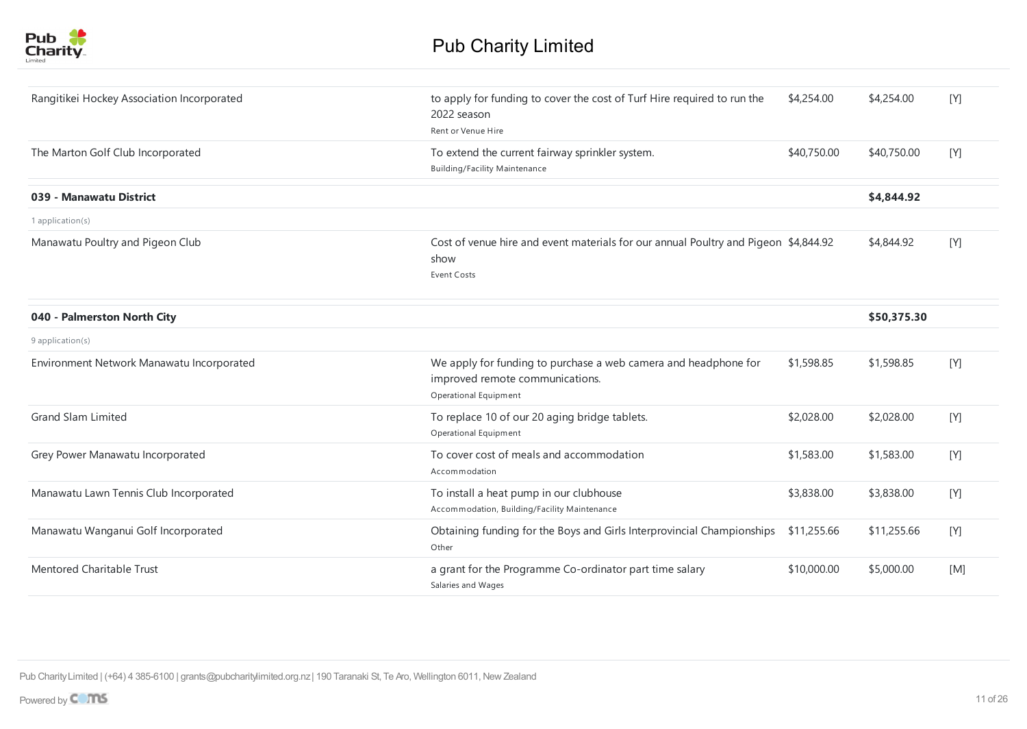

| Rangitikei Hockey Association Incorporated | to apply for funding to cover the cost of Turf Hire required to run the                                                     | \$4,254.00  | \$4,254.00  | [Y] |
|--------------------------------------------|-----------------------------------------------------------------------------------------------------------------------------|-------------|-------------|-----|
|                                            | 2022 season<br>Rent or Venue Hire                                                                                           |             |             |     |
| The Marton Golf Club Incorporated          | To extend the current fairway sprinkler system.<br><b>Building/Facility Maintenance</b>                                     | \$40,750.00 | \$40,750.00 | [Y] |
| 039 - Manawatu District                    |                                                                                                                             |             | \$4,844.92  |     |
| 1 application(s)                           |                                                                                                                             |             |             |     |
| Manawatu Poultry and Pigeon Club           | Cost of venue hire and event materials for our annual Poultry and Pigeon \$4,844.92<br>show<br><b>Event Costs</b>           |             | \$4,844.92  | [Y] |
| 040 - Palmerston North City                |                                                                                                                             |             | \$50,375.30 |     |
| 9 application(s)                           |                                                                                                                             |             |             |     |
| Environment Network Manawatu Incorporated  | We apply for funding to purchase a web camera and headphone for<br>improved remote communications.<br>Operational Equipment | \$1,598.85  | \$1,598.85  | [Y] |
| <b>Grand Slam Limited</b>                  | To replace 10 of our 20 aging bridge tablets.<br>Operational Equipment                                                      | \$2,028.00  | \$2,028.00  | [Y] |
| Grey Power Manawatu Incorporated           | To cover cost of meals and accommodation<br>Accommodation                                                                   | \$1,583.00  | \$1,583.00  | [Y] |
| Manawatu Lawn Tennis Club Incorporated     | To install a heat pump in our clubhouse<br>Accommodation, Building/Facility Maintenance                                     | \$3,838.00  | \$3,838.00  | [Y] |
| Manawatu Wanganui Golf Incorporated        | Obtaining funding for the Boys and Girls Interprovincial Championships<br>Other                                             | \$11,255.66 | \$11,255.66 | [Y] |
| Mentored Charitable Trust                  | a grant for the Programme Co-ordinator part time salary<br>Salaries and Wages                                               | \$10,000.00 | \$5,000.00  | [M] |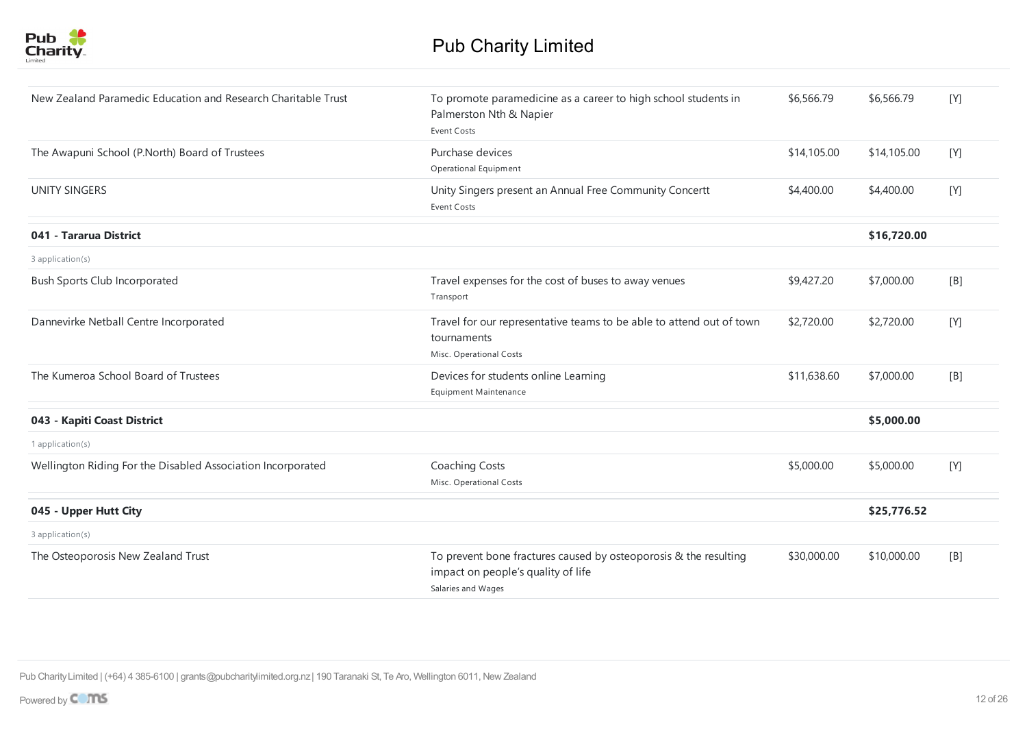

| New Zealand Paramedic Education and Research Charitable Trust | To promote paramedicine as a career to high school students in<br>Palmerston Nth & Napier<br><b>Event Costs</b>              | \$6,566.79  | \$6,566.79  | [Y] |
|---------------------------------------------------------------|------------------------------------------------------------------------------------------------------------------------------|-------------|-------------|-----|
| The Awapuni School (P.North) Board of Trustees                | Purchase devices<br>Operational Equipment                                                                                    | \$14,105.00 | \$14,105.00 | [Y] |
| <b>UNITY SINGERS</b>                                          | Unity Singers present an Annual Free Community Concertt<br>Event Costs                                                       | \$4,400.00  | \$4,400.00  | [Y] |
| 041 - Tararua District                                        |                                                                                                                              |             | \$16,720.00 |     |
| 3 application(s)                                              |                                                                                                                              |             |             |     |
| <b>Bush Sports Club Incorporated</b>                          | Travel expenses for the cost of buses to away venues<br>Transport                                                            | \$9,427.20  | \$7,000.00  | [B] |
| Dannevirke Netball Centre Incorporated                        | Travel for our representative teams to be able to attend out of town<br>tournaments<br>Misc. Operational Costs               | \$2,720.00  | \$2,720.00  | [Y] |
| The Kumeroa School Board of Trustees                          | Devices for students online Learning<br>Equipment Maintenance                                                                | \$11,638.60 | \$7,000.00  | [B] |
| 043 - Kapiti Coast District                                   |                                                                                                                              |             | \$5,000.00  |     |
| 1 application(s)                                              |                                                                                                                              |             |             |     |
| Wellington Riding For the Disabled Association Incorporated   | Coaching Costs<br>Misc. Operational Costs                                                                                    | \$5,000.00  | \$5,000.00  | [Y] |
| 045 - Upper Hutt City                                         |                                                                                                                              |             | \$25,776.52 |     |
| 3 application(s)                                              |                                                                                                                              |             |             |     |
| The Osteoporosis New Zealand Trust                            | To prevent bone fractures caused by osteoporosis & the resulting<br>impact on people's quality of life<br>Salaries and Wages | \$30,000.00 | \$10,000.00 | [B] |
|                                                               |                                                                                                                              |             |             |     |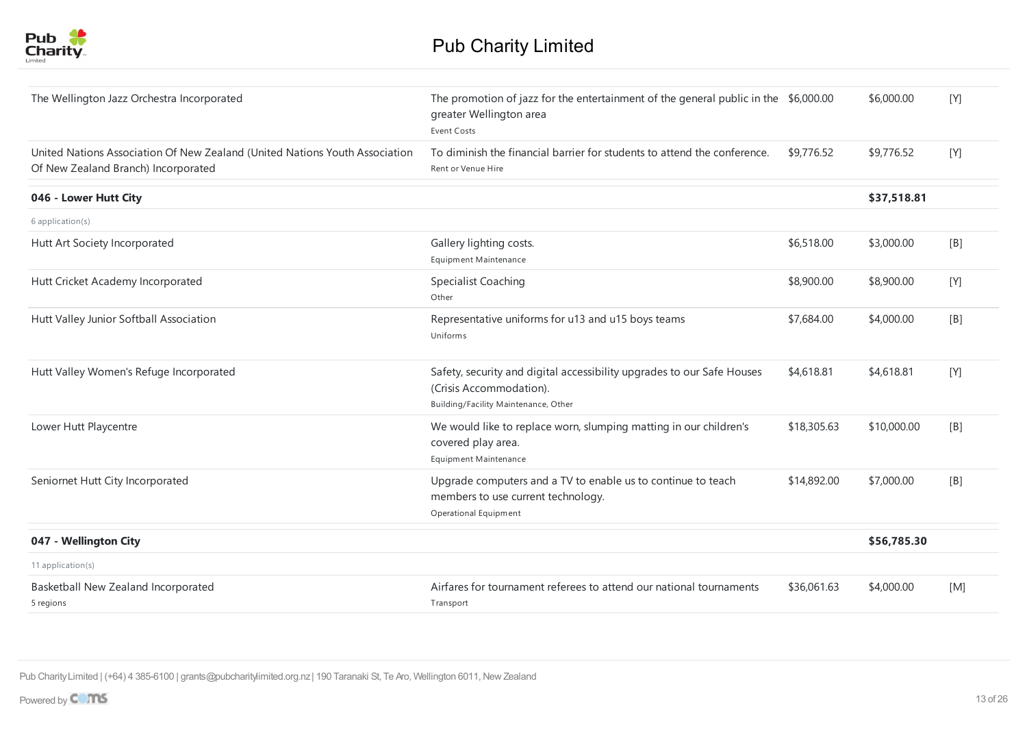

| The Wellington Jazz Orchestra Incorporated                                                                         | The promotion of jazz for the entertainment of the general public in the \$6,000.00<br>greater Wellington area<br><b>Event Costs</b>      |             | \$6,000.00  | [Y] |
|--------------------------------------------------------------------------------------------------------------------|-------------------------------------------------------------------------------------------------------------------------------------------|-------------|-------------|-----|
| United Nations Association Of New Zealand (United Nations Youth Association<br>Of New Zealand Branch) Incorporated | To diminish the financial barrier for students to attend the conference.<br>Rent or Venue Hire                                            | \$9,776.52  | \$9,776.52  | [Y] |
| 046 - Lower Hutt City                                                                                              |                                                                                                                                           |             | \$37,518.81 |     |
| 6 application(s)                                                                                                   |                                                                                                                                           |             |             |     |
| Hutt Art Society Incorporated                                                                                      | Gallery lighting costs.<br><b>Equipment Maintenance</b>                                                                                   | \$6,518.00  | \$3,000.00  | [B] |
| Hutt Cricket Academy Incorporated                                                                                  | <b>Specialist Coaching</b><br>Other                                                                                                       | \$8,900.00  | \$8,900.00  | [Y] |
| Hutt Valley Junior Softball Association                                                                            | Representative uniforms for u13 and u15 boys teams<br>Uniforms                                                                            | \$7,684.00  | \$4,000.00  | [B] |
| Hutt Valley Women's Refuge Incorporated                                                                            | Safety, security and digital accessibility upgrades to our Safe Houses<br>(Crisis Accommodation).<br>Building/Facility Maintenance, Other | \$4,618.81  | \$4,618.81  | [Y] |
| Lower Hutt Playcentre                                                                                              | We would like to replace worn, slumping matting in our children's<br>covered play area.<br><b>Equipment Maintenance</b>                   | \$18,305.63 | \$10,000.00 | [B] |
| Seniornet Hutt City Incorporated                                                                                   | Upgrade computers and a TV to enable us to continue to teach<br>members to use current technology.<br>Operational Equipment               | \$14,892.00 | \$7,000.00  | [B] |
| 047 - Wellington City                                                                                              |                                                                                                                                           |             | \$56,785.30 |     |
| 11 application(s)                                                                                                  |                                                                                                                                           |             |             |     |
| Basketball New Zealand Incorporated<br>5 regions                                                                   | Airfares for tournament referees to attend our national tournaments<br>Transport                                                          | \$36,061.63 | \$4,000.00  | [M] |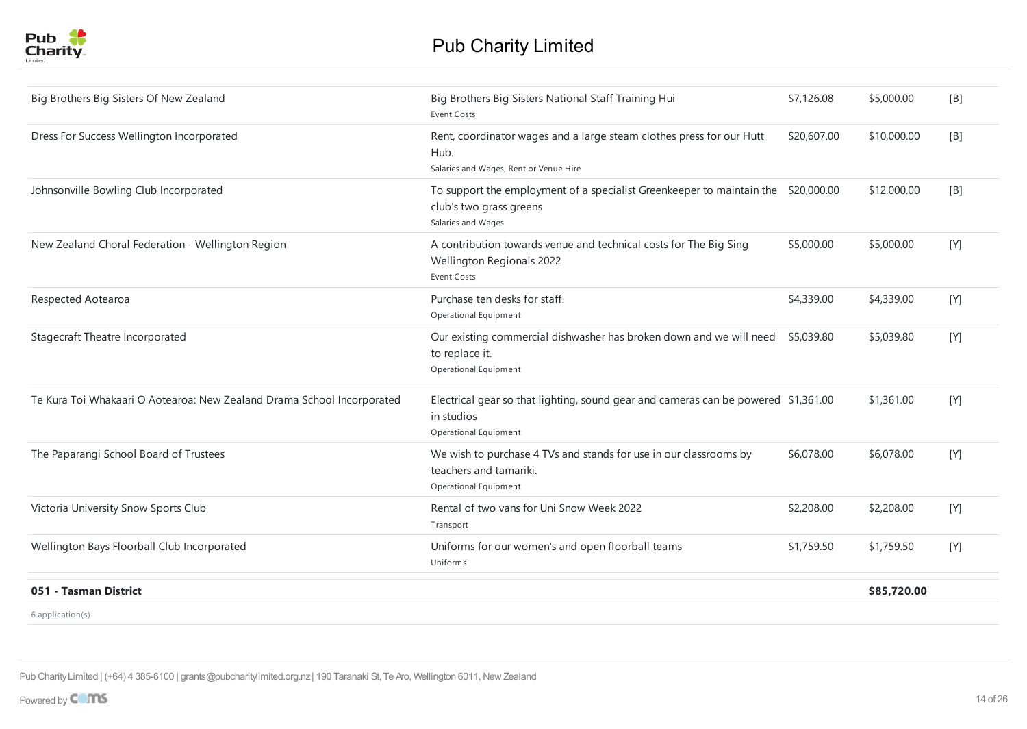

| Big Brothers Big Sisters Of New Zealand                                | Big Brothers Big Sisters National Staff Training Hui<br>Event Costs                                                                | \$7,126.08  | \$5,000.00  | [B] |
|------------------------------------------------------------------------|------------------------------------------------------------------------------------------------------------------------------------|-------------|-------------|-----|
| Dress For Success Wellington Incorporated                              | Rent, coordinator wages and a large steam clothes press for our Hutt<br>Hub.<br>Salaries and Wages, Rent or Venue Hire             | \$20,607.00 | \$10,000.00 | [B] |
| Johnsonville Bowling Club Incorporated                                 | To support the employment of a specialist Greenkeeper to maintain the \$20,000.00<br>club's two grass greens<br>Salaries and Wages |             | \$12,000.00 | [B] |
| New Zealand Choral Federation - Wellington Region                      | A contribution towards venue and technical costs for The Big Sing<br>Wellington Regionals 2022<br>Event Costs                      | \$5,000.00  | \$5,000.00  | [Y] |
| Respected Aotearoa                                                     | Purchase ten desks for staff.<br>Operational Equipment                                                                             | \$4,339.00  | \$4,339.00  | [Y] |
| Stagecraft Theatre Incorporated                                        | Our existing commercial dishwasher has broken down and we will need \$5,039.80<br>to replace it.<br>Operational Equipment          |             | \$5,039.80  | [Y] |
| Te Kura Toi Whakaari O Aotearoa: New Zealand Drama School Incorporated | Electrical gear so that lighting, sound gear and cameras can be powered \$1,361.00<br>in studios<br>Operational Equipment          |             | \$1,361.00  | [Y] |
| The Paparangi School Board of Trustees                                 | We wish to purchase 4 TVs and stands for use in our classrooms by<br>teachers and tamariki.<br>Operational Equipment               | \$6,078.00  | \$6,078.00  | [Y] |
| Victoria University Snow Sports Club                                   | Rental of two vans for Uni Snow Week 2022<br>Transport                                                                             | \$2,208.00  | \$2,208.00  | [Y] |
| Wellington Bays Floorball Club Incorporated                            | Uniforms for our women's and open floorball teams<br>Uniforms                                                                      | \$1,759.50  | \$1,759.50  | [Y] |
| 051 - Tasman District                                                  |                                                                                                                                    |             | \$85,720.00 |     |
| $6$ application(s)                                                     |                                                                                                                                    |             |             |     |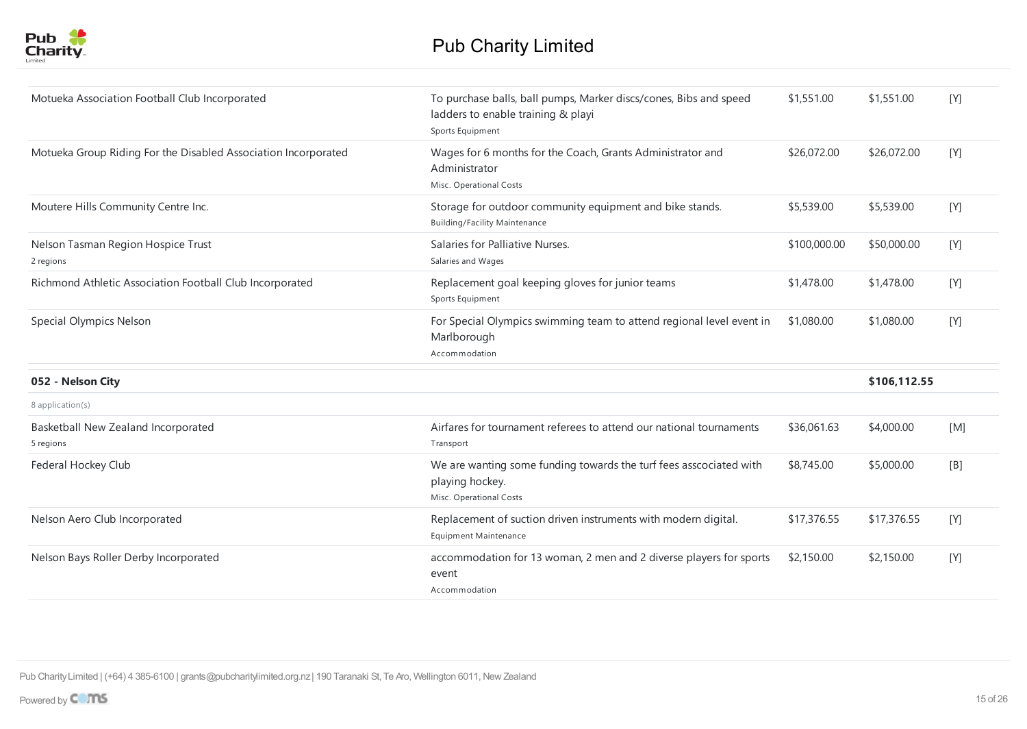

| Motueka Association Football Club Incorporated                 | To purchase balls, ball pumps, Marker discs/cones, Bibs and speed<br>ladders to enable training & playi<br>Sports Equipment | \$1,551.00   | \$1,551.00   | [Y] |
|----------------------------------------------------------------|-----------------------------------------------------------------------------------------------------------------------------|--------------|--------------|-----|
| Motueka Group Riding For the Disabled Association Incorporated | Wages for 6 months for the Coach, Grants Administrator and<br>Administrator<br>Misc. Operational Costs                      | \$26,072.00  | \$26,072.00  | [Y] |
| Moutere Hills Community Centre Inc.                            | Storage for outdoor community equipment and bike stands.<br><b>Building/Facility Maintenance</b>                            | \$5,539.00   | \$5,539.00   | [Y] |
| Nelson Tasman Region Hospice Trust<br>2 regions                | Salaries for Palliative Nurses.<br>Salaries and Wages                                                                       | \$100,000.00 | \$50,000.00  | [Y] |
| Richmond Athletic Association Football Club Incorporated       | Replacement goal keeping gloves for junior teams<br>Sports Equipment                                                        | \$1,478.00   | \$1,478.00   | [Y] |
| Special Olympics Nelson                                        | For Special Olympics swimming team to attend regional level event in<br>Marlborough<br>Accommodation                        | \$1,080.00   | \$1,080.00   | [Y] |
| 052 - Nelson City                                              |                                                                                                                             |              | \$106,112.55 |     |
| 8 application(s)                                               |                                                                                                                             |              |              |     |
| Basketball New Zealand Incorporated<br>5 regions               | Airfares for tournament referees to attend our national tournaments<br>Transport                                            | \$36,061.63  | \$4,000.00   | [M] |
| Federal Hockey Club                                            | We are wanting some funding towards the turf fees asscociated with<br>playing hockey.<br>Misc. Operational Costs            | \$8,745.00   | \$5,000.00   | [B] |
| Nelson Aero Club Incorporated                                  | Replacement of suction driven instruments with modern digital.<br>Equipment Maintenance                                     | \$17,376.55  | \$17,376.55  | [Y] |
| Nelson Bays Roller Derby Incorporated                          | accommodation for 13 woman, 2 men and 2 diverse players for sports<br>event<br>Accommodation                                | \$2,150.00   | \$2,150.00   | [Y] |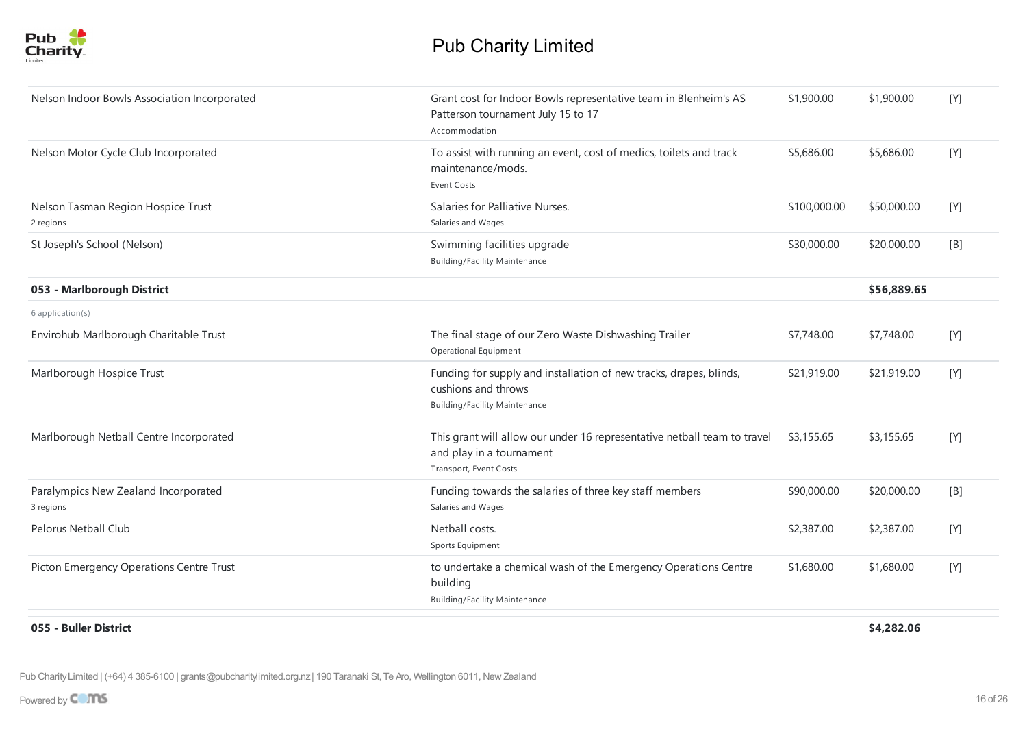

| Grant cost for Indoor Bowls representative team in Blenheim's AS<br>\$1,900.00<br>\$1,900.00<br>Nelson Indoor Bowls Association Incorporated<br>Patterson tournament July 15 to 17<br>Accommodation<br>Nelson Motor Cycle Club Incorporated<br>To assist with running an event, cost of medics, toilets and track<br>\$5,686.00<br>\$5,686.00<br>maintenance/mods.<br><b>Event Costs</b><br>Salaries for Palliative Nurses.<br>\$50,000.00<br>Nelson Tasman Region Hospice Trust<br>\$100,000.00<br>Salaries and Wages<br>2 regions<br>St Joseph's School (Nelson)<br>Swimming facilities upgrade<br>\$30,000.00<br>\$20,000.00<br><b>Building/Facility Maintenance</b><br>053 - Marlborough District<br>\$56,889.65<br>$6$ application(s)<br>Envirohub Marlborough Charitable Trust<br>The final stage of our Zero Waste Dishwashing Trailer<br>\$7,748.00<br>\$7,748.00<br>Operational Equipment<br>Marlborough Hospice Trust<br>Funding for supply and installation of new tracks, drapes, blinds,<br>\$21,919.00<br>\$21,919.00<br>cushions and throws<br><b>Building/Facility Maintenance</b><br>This grant will allow our under 16 representative netball team to travel<br>Marlborough Netball Centre Incorporated<br>\$3,155.65<br>\$3,155.65<br>and play in a tournament<br>Transport, Event Costs<br>Paralympics New Zealand Incorporated<br>Funding towards the salaries of three key staff members<br>\$90,000.00<br>\$20,000.00<br>Salaries and Wages<br>3 regions<br>Pelorus Netball Club<br>\$2,387.00<br>Netball costs.<br>\$2,387.00<br>Sports Equipment<br>Picton Emergency Operations Centre Trust<br>to undertake a chemical wash of the Emergency Operations Centre<br>\$1,680.00<br>\$1,680.00<br>building |                                      |  |     |
|----------------------------------------------------------------------------------------------------------------------------------------------------------------------------------------------------------------------------------------------------------------------------------------------------------------------------------------------------------------------------------------------------------------------------------------------------------------------------------------------------------------------------------------------------------------------------------------------------------------------------------------------------------------------------------------------------------------------------------------------------------------------------------------------------------------------------------------------------------------------------------------------------------------------------------------------------------------------------------------------------------------------------------------------------------------------------------------------------------------------------------------------------------------------------------------------------------------------------------------------------------------------------------------------------------------------------------------------------------------------------------------------------------------------------------------------------------------------------------------------------------------------------------------------------------------------------------------------------------------------------------------------------------------------------------------------------------------------------------|--------------------------------------|--|-----|
|                                                                                                                                                                                                                                                                                                                                                                                                                                                                                                                                                                                                                                                                                                                                                                                                                                                                                                                                                                                                                                                                                                                                                                                                                                                                                                                                                                                                                                                                                                                                                                                                                                                                                                                                  |                                      |  | [Y] |
|                                                                                                                                                                                                                                                                                                                                                                                                                                                                                                                                                                                                                                                                                                                                                                                                                                                                                                                                                                                                                                                                                                                                                                                                                                                                                                                                                                                                                                                                                                                                                                                                                                                                                                                                  |                                      |  | [Y] |
|                                                                                                                                                                                                                                                                                                                                                                                                                                                                                                                                                                                                                                                                                                                                                                                                                                                                                                                                                                                                                                                                                                                                                                                                                                                                                                                                                                                                                                                                                                                                                                                                                                                                                                                                  |                                      |  | [Y] |
|                                                                                                                                                                                                                                                                                                                                                                                                                                                                                                                                                                                                                                                                                                                                                                                                                                                                                                                                                                                                                                                                                                                                                                                                                                                                                                                                                                                                                                                                                                                                                                                                                                                                                                                                  |                                      |  |     |
|                                                                                                                                                                                                                                                                                                                                                                                                                                                                                                                                                                                                                                                                                                                                                                                                                                                                                                                                                                                                                                                                                                                                                                                                                                                                                                                                                                                                                                                                                                                                                                                                                                                                                                                                  |                                      |  | [B] |
|                                                                                                                                                                                                                                                                                                                                                                                                                                                                                                                                                                                                                                                                                                                                                                                                                                                                                                                                                                                                                                                                                                                                                                                                                                                                                                                                                                                                                                                                                                                                                                                                                                                                                                                                  |                                      |  |     |
|                                                                                                                                                                                                                                                                                                                                                                                                                                                                                                                                                                                                                                                                                                                                                                                                                                                                                                                                                                                                                                                                                                                                                                                                                                                                                                                                                                                                                                                                                                                                                                                                                                                                                                                                  |                                      |  |     |
|                                                                                                                                                                                                                                                                                                                                                                                                                                                                                                                                                                                                                                                                                                                                                                                                                                                                                                                                                                                                                                                                                                                                                                                                                                                                                                                                                                                                                                                                                                                                                                                                                                                                                                                                  |                                      |  | [Y] |
|                                                                                                                                                                                                                                                                                                                                                                                                                                                                                                                                                                                                                                                                                                                                                                                                                                                                                                                                                                                                                                                                                                                                                                                                                                                                                                                                                                                                                                                                                                                                                                                                                                                                                                                                  |                                      |  | [Y] |
|                                                                                                                                                                                                                                                                                                                                                                                                                                                                                                                                                                                                                                                                                                                                                                                                                                                                                                                                                                                                                                                                                                                                                                                                                                                                                                                                                                                                                                                                                                                                                                                                                                                                                                                                  |                                      |  | [Y] |
|                                                                                                                                                                                                                                                                                                                                                                                                                                                                                                                                                                                                                                                                                                                                                                                                                                                                                                                                                                                                                                                                                                                                                                                                                                                                                                                                                                                                                                                                                                                                                                                                                                                                                                                                  |                                      |  | [B] |
|                                                                                                                                                                                                                                                                                                                                                                                                                                                                                                                                                                                                                                                                                                                                                                                                                                                                                                                                                                                                                                                                                                                                                                                                                                                                                                                                                                                                                                                                                                                                                                                                                                                                                                                                  |                                      |  | [Y] |
|                                                                                                                                                                                                                                                                                                                                                                                                                                                                                                                                                                                                                                                                                                                                                                                                                                                                                                                                                                                                                                                                                                                                                                                                                                                                                                                                                                                                                                                                                                                                                                                                                                                                                                                                  | <b>Building/Facility Maintenance</b> |  | [Y] |
| 055 - Buller District<br>\$4,282.06                                                                                                                                                                                                                                                                                                                                                                                                                                                                                                                                                                                                                                                                                                                                                                                                                                                                                                                                                                                                                                                                                                                                                                                                                                                                                                                                                                                                                                                                                                                                                                                                                                                                                              |                                      |  |     |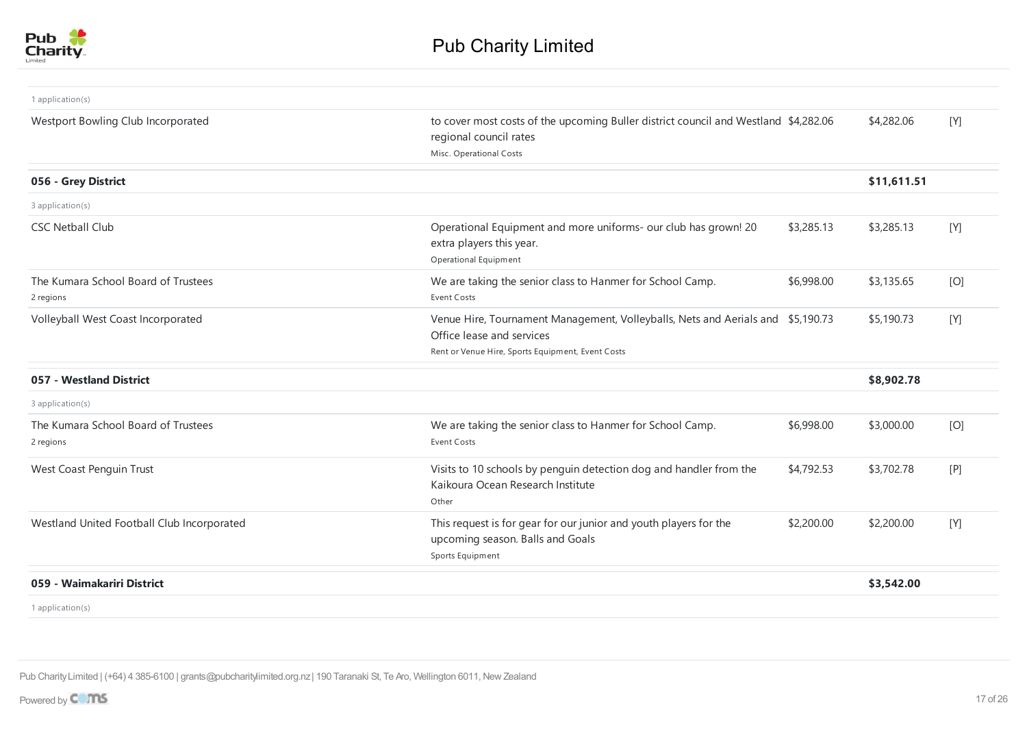

| 1 application(s)                                 |                                                                                                                                                                   |            |             |     |
|--------------------------------------------------|-------------------------------------------------------------------------------------------------------------------------------------------------------------------|------------|-------------|-----|
| Westport Bowling Club Incorporated               | to cover most costs of the upcoming Buller district council and Westland \$4,282.06<br>regional council rates<br>Misc. Operational Costs                          |            | \$4,282.06  | [Y] |
| 056 - Grey District                              |                                                                                                                                                                   |            | \$11,611.51 |     |
| 3 application(s)                                 |                                                                                                                                                                   |            |             |     |
| <b>CSC Netball Club</b>                          | Operational Equipment and more uniforms- our club has grown! 20<br>extra players this year.<br>Operational Equipment                                              | \$3,285.13 | \$3,285.13  | [Y] |
| The Kumara School Board of Trustees<br>2 regions | We are taking the senior class to Hanmer for School Camp.<br><b>Event Costs</b>                                                                                   | \$6,998.00 | \$3,135.65  | [O] |
| Volleyball West Coast Incorporated               | Venue Hire, Tournament Management, Volleyballs, Nets and Aerials and \$5,190.73<br>Office lease and services<br>Rent or Venue Hire, Sports Equipment, Event Costs |            | \$5,190.73  | [Y] |
| 057 - Westland District                          |                                                                                                                                                                   |            | \$8,902.78  |     |
| 3 application(s)                                 |                                                                                                                                                                   |            |             |     |
| The Kumara School Board of Trustees<br>2 regions | We are taking the senior class to Hanmer for School Camp.<br>Event Costs                                                                                          | \$6,998.00 | \$3,000.00  | [O] |
| West Coast Penguin Trust                         | Visits to 10 schools by penguin detection dog and handler from the<br>Kaikoura Ocean Research Institute<br>Other                                                  | \$4,792.53 | \$3,702.78  | [P] |
| Westland United Football Club Incorporated       | This request is for gear for our junior and youth players for the<br>upcoming season. Balls and Goals<br>Sports Equipment                                         | \$2,200.00 | \$2,200.00  | [Y] |
| 059 - Waimakariri District                       |                                                                                                                                                                   |            | \$3,542.00  |     |
| 1 application(s)                                 |                                                                                                                                                                   |            |             |     |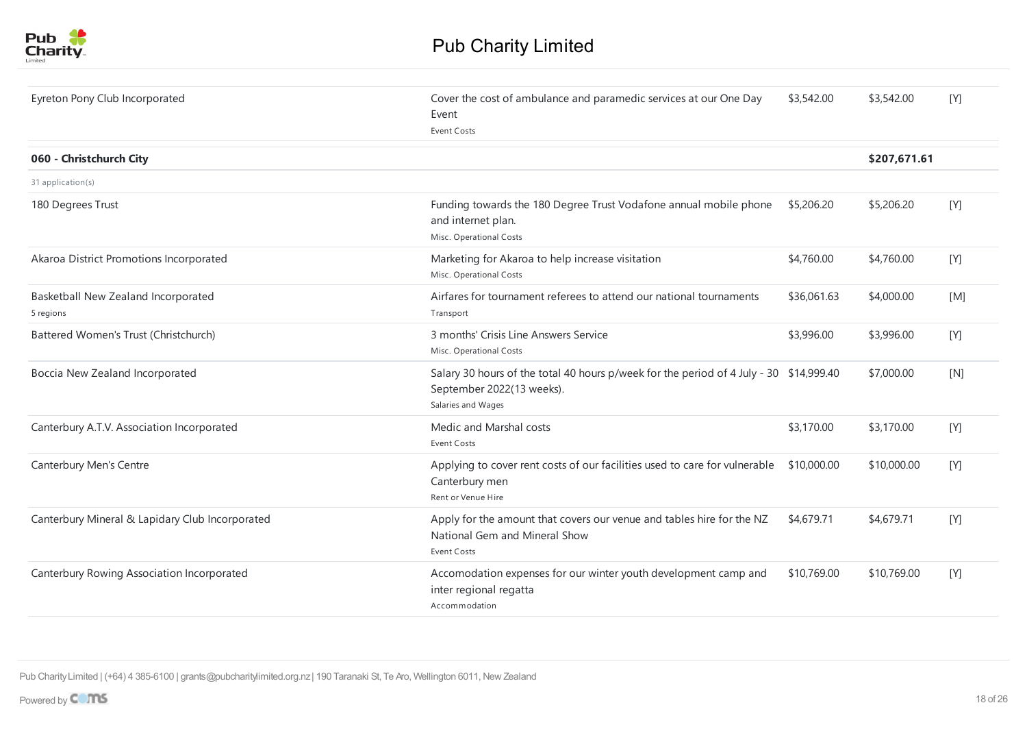

| Eyreton Pony Club Incorporated                   | Cover the cost of ambulance and paramedic services at our One Day<br>Event<br><b>Event Costs</b>                                          | \$3,542.00  | \$3,542.00   | [Y] |
|--------------------------------------------------|-------------------------------------------------------------------------------------------------------------------------------------------|-------------|--------------|-----|
| 060 - Christchurch City                          |                                                                                                                                           |             | \$207,671.61 |     |
| 31 application(s)                                |                                                                                                                                           |             |              |     |
| 180 Degrees Trust                                | Funding towards the 180 Degree Trust Vodafone annual mobile phone<br>and internet plan.<br>Misc. Operational Costs                        | \$5,206.20  | \$5,206.20   | [Y] |
| Akaroa District Promotions Incorporated          | Marketing for Akaroa to help increase visitation<br>Misc. Operational Costs                                                               | \$4,760.00  | \$4,760.00   | [Y] |
| Basketball New Zealand Incorporated<br>5 regions | Airfares for tournament referees to attend our national tournaments<br>Transport                                                          | \$36,061.63 | \$4,000.00   | [M] |
| Battered Women's Trust (Christchurch)            | 3 months' Crisis Line Answers Service<br>Misc. Operational Costs                                                                          | \$3,996.00  | \$3,996.00   | [Y] |
| Boccia New Zealand Incorporated                  | Salary 30 hours of the total 40 hours p/week for the period of 4 July - 30 \$14,999.40<br>September 2022(13 weeks).<br>Salaries and Wages |             | \$7,000.00   | [N] |
| Canterbury A.T.V. Association Incorporated       | Medic and Marshal costs<br><b>Event Costs</b>                                                                                             | \$3,170.00  | \$3,170.00   | [Y] |
| Canterbury Men's Centre                          | Applying to cover rent costs of our facilities used to care for vulnerable \$10,000.00<br>Canterbury men<br>Rent or Venue Hire            |             | \$10,000.00  | [Y] |
| Canterbury Mineral & Lapidary Club Incorporated  | Apply for the amount that covers our venue and tables hire for the NZ<br>National Gem and Mineral Show<br>Event Costs                     | \$4,679.71  | \$4,679.71   | [Y] |
| Canterbury Rowing Association Incorporated       | Accomodation expenses for our winter youth development camp and<br>inter regional regatta<br>Accommodation                                | \$10,769.00 | \$10,769.00  | [Y] |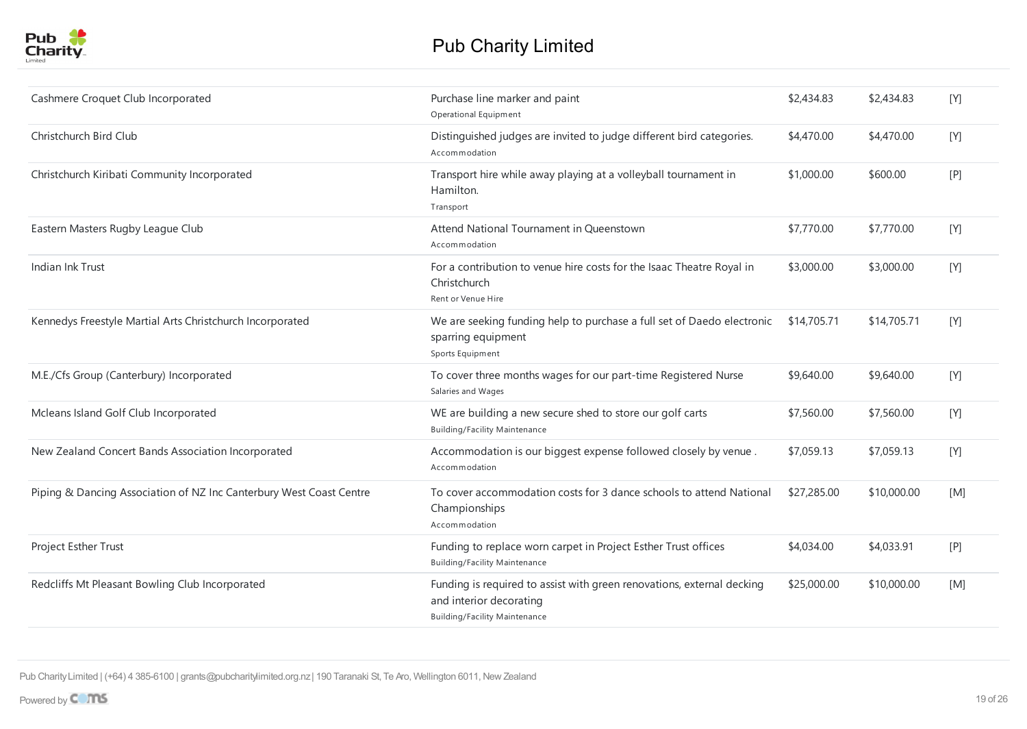| Cashmere Croquet Club Incorporated                                  | Purchase line marker and paint<br>Operational Equipment                                                                                   | \$2,434.83  | \$2,434.83  | [Y] |
|---------------------------------------------------------------------|-------------------------------------------------------------------------------------------------------------------------------------------|-------------|-------------|-----|
| Christchurch Bird Club                                              | Distinguished judges are invited to judge different bird categories.<br>Accommodation                                                     | \$4,470.00  | \$4,470.00  | [Y] |
| Christchurch Kiribati Community Incorporated                        | Transport hire while away playing at a volleyball tournament in<br>Hamilton.<br>Transport                                                 | \$1,000.00  | \$600.00    | [P] |
| Eastern Masters Rugby League Club                                   | Attend National Tournament in Queenstown<br>Accommodation                                                                                 | \$7,770.00  | \$7,770.00  | [Y] |
| Indian Ink Trust                                                    | For a contribution to venue hire costs for the Isaac Theatre Royal in<br>Christchurch<br>Rent or Venue Hire                               | \$3,000.00  | \$3,000.00  | [Y] |
| Kennedys Freestyle Martial Arts Christchurch Incorporated           | We are seeking funding help to purchase a full set of Daedo electronic<br>sparring equipment<br>Sports Equipment                          | \$14,705.71 | \$14,705.71 | [Y] |
| M.E./Cfs Group (Canterbury) Incorporated                            | To cover three months wages for our part-time Registered Nurse<br>Salaries and Wages                                                      | \$9,640.00  | \$9,640.00  | [Y] |
| Mcleans Island Golf Club Incorporated                               | WE are building a new secure shed to store our golf carts<br><b>Building/Facility Maintenance</b>                                         | \$7,560.00  | \$7,560.00  | [Y] |
| New Zealand Concert Bands Association Incorporated                  | Accommodation is our biggest expense followed closely by venue.<br>Accommodation                                                          | \$7,059.13  | \$7,059.13  | [Y] |
| Piping & Dancing Association of NZ Inc Canterbury West Coast Centre | To cover accommodation costs for 3 dance schools to attend National<br>Championships<br>Accommodation                                     | \$27,285.00 | \$10,000.00 | [M] |
| Project Esther Trust                                                | Funding to replace worn carpet in Project Esther Trust offices<br><b>Building/Facility Maintenance</b>                                    | \$4,034.00  | \$4,033.91  | [P] |
| Redcliffs Mt Pleasant Bowling Club Incorporated                     | Funding is required to assist with green renovations, external decking<br>and interior decorating<br><b>Building/Facility Maintenance</b> | \$25,000.00 | \$10,000.00 | [M] |
|                                                                     |                                                                                                                                           |             |             |     |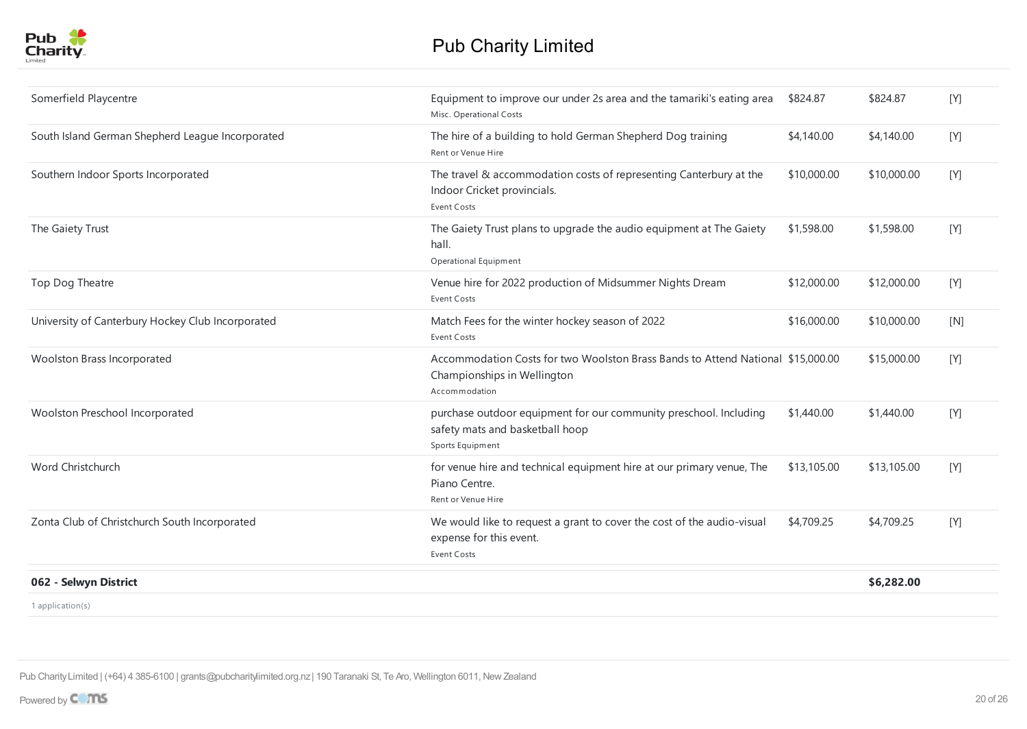| Somerfield Playcentre                             | Equipment to improve our under 2s area and the tamariki's eating area<br>Misc. Operational Costs                                | \$824.87    | \$824.87    | [Y]   |
|---------------------------------------------------|---------------------------------------------------------------------------------------------------------------------------------|-------------|-------------|-------|
| South Island German Shepherd League Incorporated  | The hire of a building to hold German Shepherd Dog training<br>Rent or Venue Hire                                               | \$4,140.00  | \$4,140.00  | [Y]   |
| Southern Indoor Sports Incorporated               | The travel & accommodation costs of representing Canterbury at the<br>Indoor Cricket provincials.<br>Event Costs                | \$10,000.00 | \$10,000.00 | [Y]   |
| The Gaiety Trust                                  | The Gaiety Trust plans to upgrade the audio equipment at The Gaiety<br>hall.<br>Operational Equipment                           | \$1,598.00  | \$1,598.00  | [Y]   |
| Top Dog Theatre                                   | Venue hire for 2022 production of Midsummer Nights Dream<br><b>Event Costs</b>                                                  | \$12,000.00 | \$12,000.00 | $[Y]$ |
| University of Canterbury Hockey Club Incorporated | Match Fees for the winter hockey season of 2022<br><b>Event Costs</b>                                                           | \$16,000.00 | \$10,000.00 | [N]   |
| Woolston Brass Incorporated                       | Accommodation Costs for two Woolston Brass Bands to Attend National \$15,000.00<br>Championships in Wellington<br>Accommodation |             | \$15,000.00 | [Y]   |
| Woolston Preschool Incorporated                   | purchase outdoor equipment for our community preschool. Including<br>safety mats and basketball hoop<br>Sports Equipment        | \$1,440.00  | \$1,440.00  | [Y]   |
| Word Christchurch                                 | for venue hire and technical equipment hire at our primary venue, The<br>Piano Centre.<br>Rent or Venue Hire                    | \$13,105.00 | \$13,105.00 | $[Y]$ |
| Zonta Club of Christchurch South Incorporated     | We would like to request a grant to cover the cost of the audio-visual<br>expense for this event.<br><b>Event Costs</b>         | \$4,709.25  | \$4,709.25  | [Y]   |
| 062 - Selwyn District                             |                                                                                                                                 |             | \$6,282.00  |       |
| 1 application(s)                                  |                                                                                                                                 |             |             |       |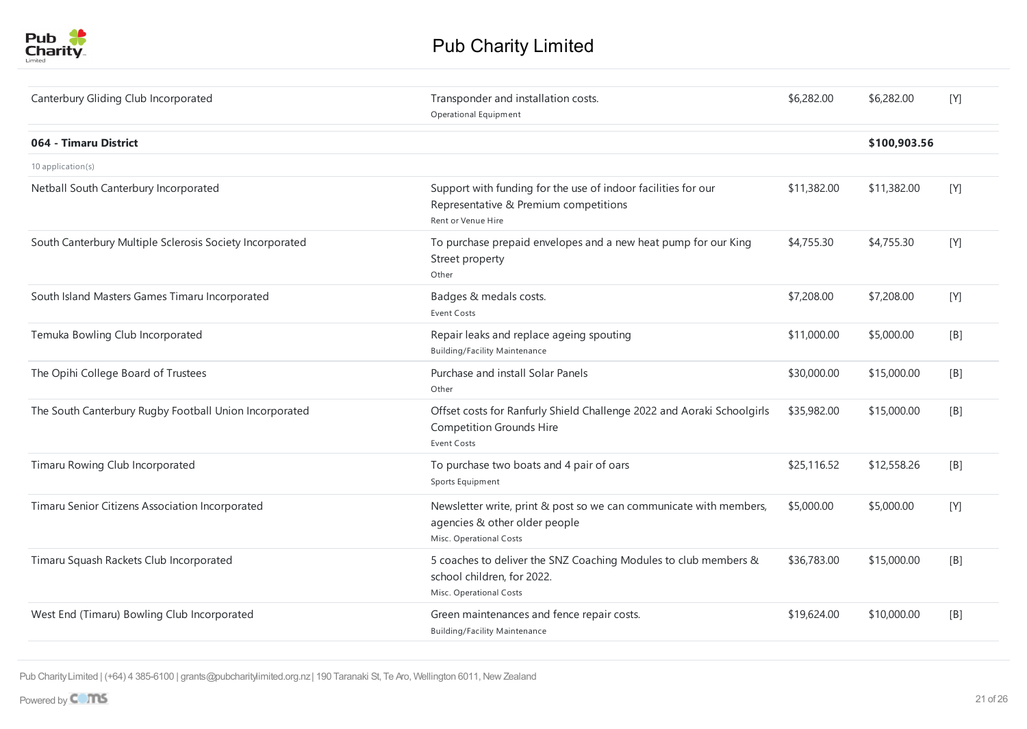

| Canterbury Gliding Club Incorporated                     | Transponder and installation costs.<br>Operational Equipment                                                                    | \$6,282.00  | \$6,282.00   | [Y] |
|----------------------------------------------------------|---------------------------------------------------------------------------------------------------------------------------------|-------------|--------------|-----|
| 064 - Timaru District                                    |                                                                                                                                 |             | \$100,903.56 |     |
| 10 application(s)                                        |                                                                                                                                 |             |              |     |
| Netball South Canterbury Incorporated                    | Support with funding for the use of indoor facilities for our<br>Representative & Premium competitions<br>Rent or Venue Hire    | \$11,382.00 | \$11,382.00  | [Y] |
| South Canterbury Multiple Sclerosis Society Incorporated | To purchase prepaid envelopes and a new heat pump for our King<br>Street property<br>Other                                      | \$4,755.30  | \$4,755.30   | [Y] |
| South Island Masters Games Timaru Incorporated           | Badges & medals costs.<br><b>Event Costs</b>                                                                                    | \$7,208.00  | \$7,208.00   | [Y] |
| Temuka Bowling Club Incorporated                         | Repair leaks and replace ageing spouting<br><b>Building/Facility Maintenance</b>                                                | \$11,000.00 | \$5,000.00   | [B] |
| The Opihi College Board of Trustees                      | Purchase and install Solar Panels<br>Other                                                                                      | \$30,000.00 | \$15,000.00  | [B] |
| The South Canterbury Rugby Football Union Incorporated   | Offset costs for Ranfurly Shield Challenge 2022 and Aoraki Schoolgirls<br><b>Competition Grounds Hire</b><br><b>Event Costs</b> | \$35,982.00 | \$15,000.00  | [B] |
| Timaru Rowing Club Incorporated                          | To purchase two boats and 4 pair of oars<br>Sports Equipment                                                                    | \$25,116.52 | \$12,558.26  | [B] |
| Timaru Senior Citizens Association Incorporated          | Newsletter write, print & post so we can communicate with members,<br>agencies & other older people<br>Misc. Operational Costs  | \$5,000.00  | \$5,000.00   | [Y] |
| Timaru Squash Rackets Club Incorporated                  | 5 coaches to deliver the SNZ Coaching Modules to club members &<br>school children, for 2022.<br>Misc. Operational Costs        | \$36,783.00 | \$15,000.00  | [B] |
| West End (Timaru) Bowling Club Incorporated              | Green maintenances and fence repair costs.<br><b>Building/Facility Maintenance</b>                                              | \$19,624.00 | \$10,000.00  | [B] |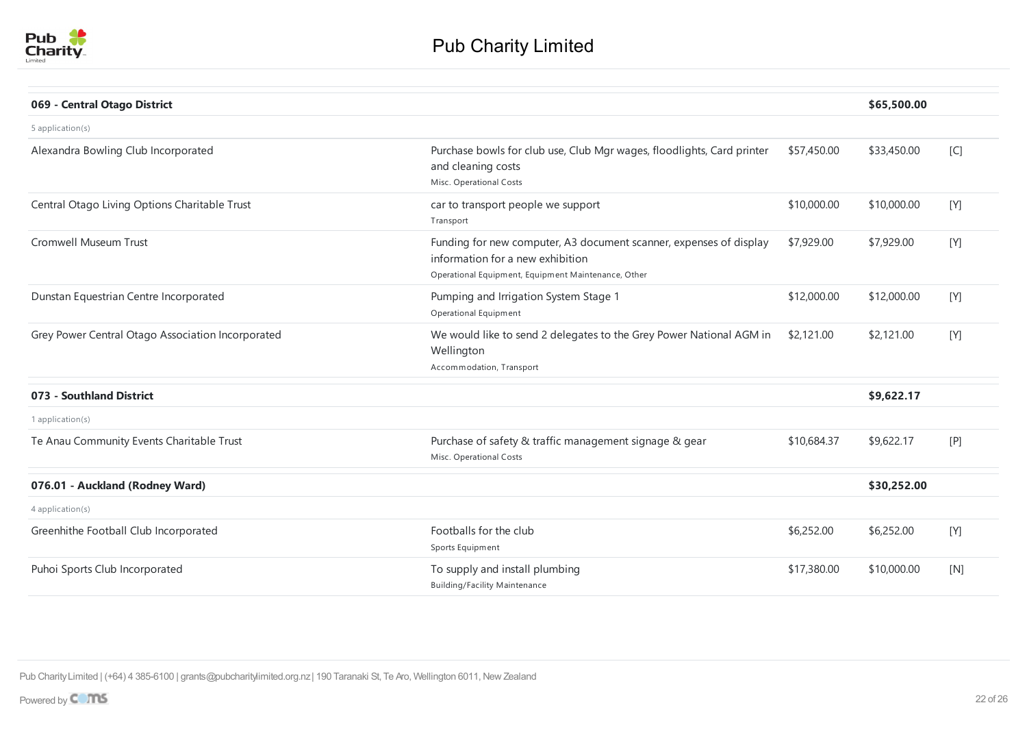

| 069 - Central Otago District                      |                                                                                                                                                               |             | \$65,500.00 |         |
|---------------------------------------------------|---------------------------------------------------------------------------------------------------------------------------------------------------------------|-------------|-------------|---------|
| 5 application(s)                                  |                                                                                                                                                               |             |             |         |
| Alexandra Bowling Club Incorporated               | Purchase bowls for club use, Club Mgr wages, floodlights, Card printer<br>and cleaning costs<br>Misc. Operational Costs                                       | \$57,450.00 | \$33,450.00 | [C]     |
| Central Otago Living Options Charitable Trust     | car to transport people we support<br>Transport                                                                                                               | \$10,000.00 | \$10,000.00 | [Y]     |
| Cromwell Museum Trust                             | Funding for new computer, A3 document scanner, expenses of display<br>information for a new exhibition<br>Operational Equipment, Equipment Maintenance, Other | \$7,929.00  | \$7,929.00  | [Y]     |
| Dunstan Equestrian Centre Incorporated            | Pumping and Irrigation System Stage 1<br>Operational Equipment                                                                                                | \$12,000.00 | \$12,000.00 | [Y]     |
| Grey Power Central Otago Association Incorporated | We would like to send 2 delegates to the Grey Power National AGM in<br>Wellington<br>Accommodation, Transport                                                 | \$2,121.00  | \$2,121.00  | $[ Y ]$ |
| 073 - Southland District                          |                                                                                                                                                               |             | \$9,622.17  |         |
| 1 application(s)                                  |                                                                                                                                                               |             |             |         |
| Te Anau Community Events Charitable Trust         | Purchase of safety & traffic management signage & gear<br>Misc. Operational Costs                                                                             | \$10,684.37 | \$9,622.17  | [P]     |
| 076.01 - Auckland (Rodney Ward)                   |                                                                                                                                                               |             | \$30,252.00 |         |
| 4 application(s)                                  |                                                                                                                                                               |             |             |         |
| Greenhithe Football Club Incorporated             | Footballs for the club<br>Sports Equipment                                                                                                                    | \$6,252.00  | \$6,252.00  | $[ Y ]$ |
| Puhoi Sports Club Incorporated                    | To supply and install plumbing<br><b>Building/Facility Maintenance</b>                                                                                        | \$17,380.00 | \$10,000.00 | [N]     |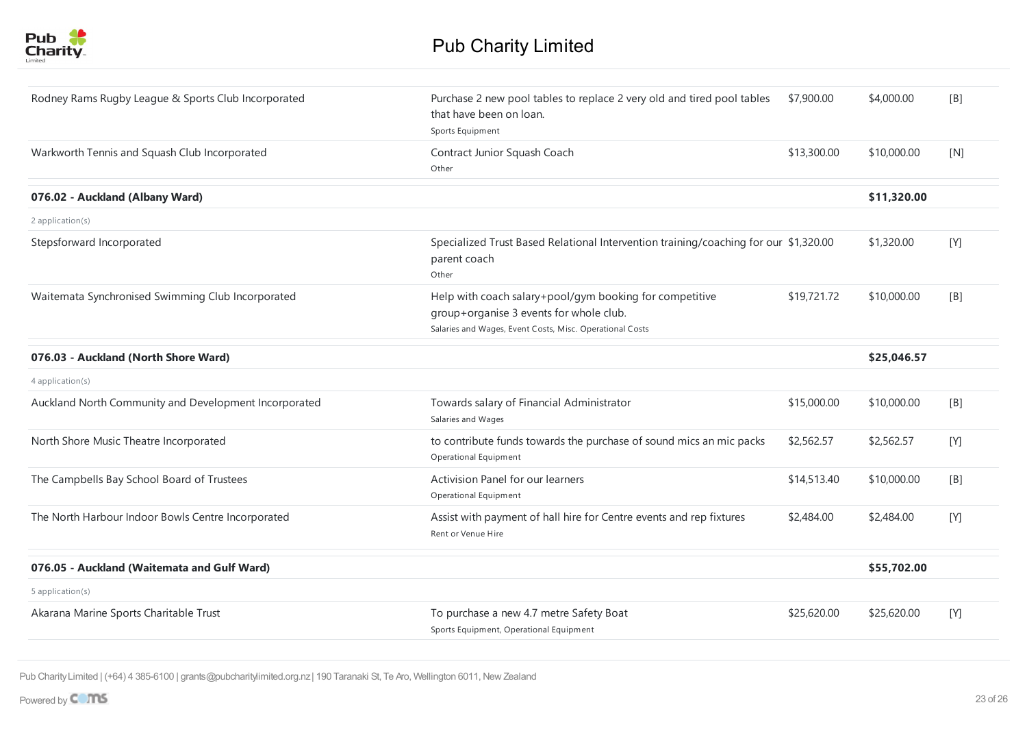

| Rodney Rams Rugby League & Sports Club Incorporated   | Purchase 2 new pool tables to replace 2 very old and tired pool tables<br>that have been on loan.<br>Sports Equipment                                          | \$7,900.00  | \$4,000.00  | [B]   |
|-------------------------------------------------------|----------------------------------------------------------------------------------------------------------------------------------------------------------------|-------------|-------------|-------|
| Warkworth Tennis and Squash Club Incorporated         | Contract Junior Squash Coach<br>Other                                                                                                                          | \$13,300.00 | \$10,000.00 | [N]   |
| 076.02 - Auckland (Albany Ward)                       |                                                                                                                                                                |             | \$11,320.00 |       |
| 2 application(s)                                      |                                                                                                                                                                |             |             |       |
| Stepsforward Incorporated                             | Specialized Trust Based Relational Intervention training/coaching for our \$1,320.00<br>parent coach<br>Other                                                  |             | \$1,320.00  | [Y]   |
| Waitemata Synchronised Swimming Club Incorporated     | Help with coach salary+pool/gym booking for competitive<br>group+organise 3 events for whole club.<br>Salaries and Wages, Event Costs, Misc. Operational Costs | \$19,721.72 | \$10,000.00 | [B]   |
| 076.03 - Auckland (North Shore Ward)                  |                                                                                                                                                                |             | \$25,046.57 |       |
| 4 application(s)                                      |                                                                                                                                                                |             |             |       |
| Auckland North Community and Development Incorporated | Towards salary of Financial Administrator<br>Salaries and Wages                                                                                                | \$15,000.00 | \$10,000.00 | [B]   |
| North Shore Music Theatre Incorporated                | to contribute funds towards the purchase of sound mics an mic packs<br>Operational Equipment                                                                   | \$2,562.57  | \$2,562.57  | [Y]   |
| The Campbells Bay School Board of Trustees            | Activision Panel for our learners<br>Operational Equipment                                                                                                     | \$14,513.40 | \$10,000.00 | [B]   |
| The North Harbour Indoor Bowls Centre Incorporated    | Assist with payment of hall hire for Centre events and rep fixtures<br>Rent or Venue Hire                                                                      | \$2,484.00  | \$2,484.00  | [Y]   |
| 076.05 - Auckland (Waitemata and Gulf Ward)           |                                                                                                                                                                |             | \$55,702.00 |       |
| 5 application(s)                                      |                                                                                                                                                                |             |             |       |
| Akarana Marine Sports Charitable Trust                | To purchase a new 4.7 metre Safety Boat<br>Sports Equipment, Operational Equipment                                                                             | \$25,620.00 | \$25,620.00 | $[Y]$ |
|                                                       |                                                                                                                                                                |             |             |       |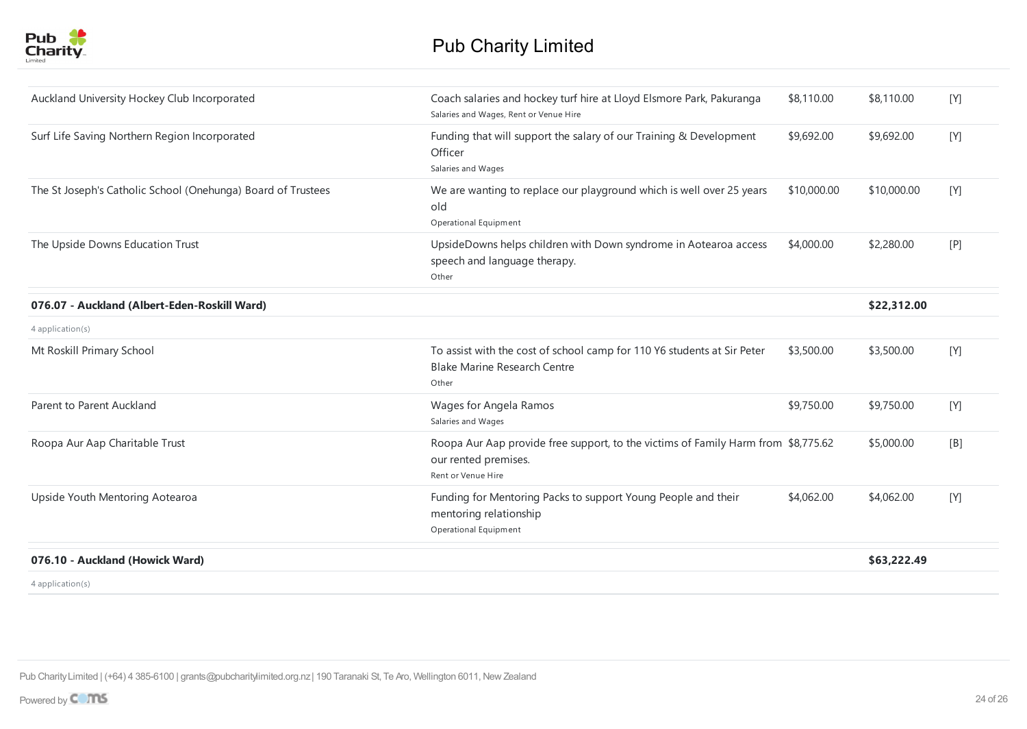

| Auckland University Hockey Club Incorporated                 | Coach salaries and hockey turf hire at Lloyd Elsmore Park, Pakuranga<br>Salaries and Wages, Rent or Venue Hire                  | \$8,110.00  | \$8,110.00  | [Y] |
|--------------------------------------------------------------|---------------------------------------------------------------------------------------------------------------------------------|-------------|-------------|-----|
| Surf Life Saving Northern Region Incorporated                | Funding that will support the salary of our Training & Development<br>Officer<br>Salaries and Wages                             | \$9,692.00  | \$9,692.00  | [Y] |
| The St Joseph's Catholic School (Onehunga) Board of Trustees | We are wanting to replace our playground which is well over 25 years<br>old<br>Operational Equipment                            | \$10,000.00 | \$10,000.00 | [Y] |
| The Upside Downs Education Trust                             | UpsideDowns helps children with Down syndrome in Aotearoa access<br>speech and language therapy.<br>Other                       | \$4,000.00  | \$2,280.00  | [P] |
| 076.07 - Auckland (Albert-Eden-Roskill Ward)                 |                                                                                                                                 |             | \$22,312.00 |     |
| 4 application(s)                                             |                                                                                                                                 |             |             |     |
| Mt Roskill Primary School                                    | To assist with the cost of school camp for 110 Y6 students at Sir Peter<br><b>Blake Marine Research Centre</b><br>Other         | \$3,500.00  | \$3,500.00  | [Y] |
| Parent to Parent Auckland                                    | Wages for Angela Ramos<br>Salaries and Wages                                                                                    | \$9,750.00  | \$9,750.00  | [Y] |
| Roopa Aur Aap Charitable Trust                               | Roopa Aur Aap provide free support, to the victims of Family Harm from \$8,775.62<br>our rented premises.<br>Rent or Venue Hire |             | \$5,000.00  | [B] |
| Upside Youth Mentoring Aotearoa                              | Funding for Mentoring Packs to support Young People and their<br>mentoring relationship<br>Operational Equipment                | \$4,062.00  | \$4,062.00  | [Y] |
| 076.10 - Auckland (Howick Ward)                              |                                                                                                                                 |             | \$63,222.49 |     |
| 4 application(s)                                             |                                                                                                                                 |             |             |     |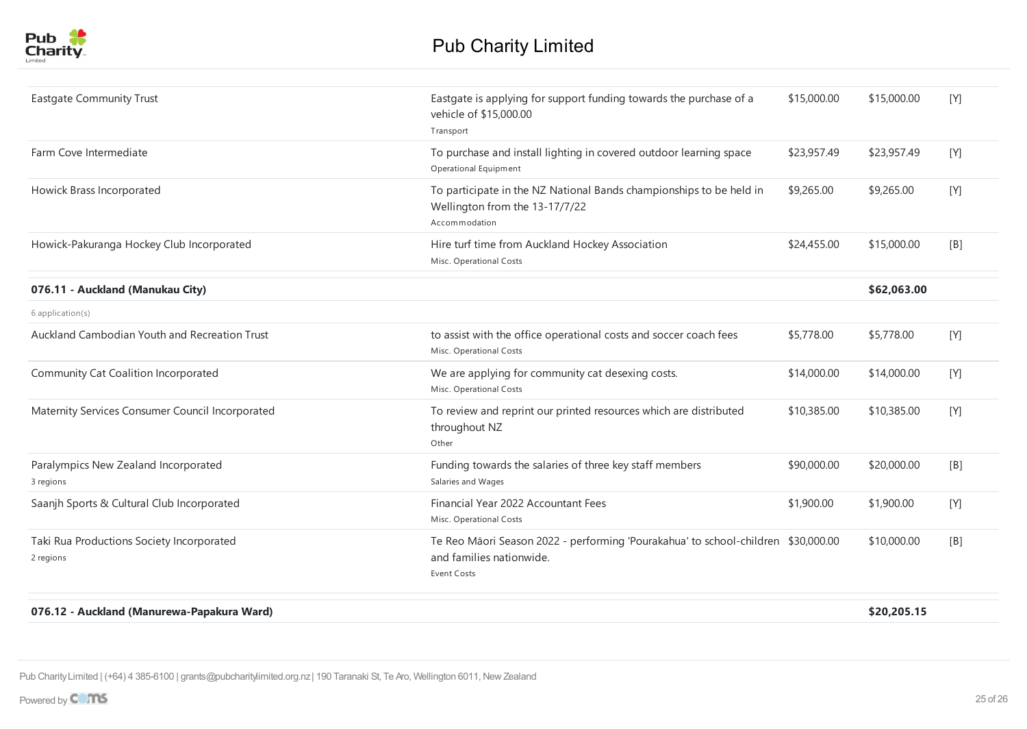

| <b>Eastgate Community Trust</b>                        | Eastgate is applying for support funding towards the purchase of a<br>vehicle of \$15,000.00<br>Transport                           | \$15,000.00 | \$15,000.00 | [Y] |
|--------------------------------------------------------|-------------------------------------------------------------------------------------------------------------------------------------|-------------|-------------|-----|
| Farm Cove Intermediate                                 | To purchase and install lighting in covered outdoor learning space<br>Operational Equipment                                         | \$23,957.49 | \$23,957.49 | [Y] |
| Howick Brass Incorporated                              | To participate in the NZ National Bands championships to be held in<br>Wellington from the 13-17/7/22<br>Accommodation              | \$9,265.00  | \$9,265.00  | [Y] |
| Howick-Pakuranga Hockey Club Incorporated              | Hire turf time from Auckland Hockey Association<br>Misc. Operational Costs                                                          | \$24,455.00 | \$15,000.00 | [B] |
| 076.11 - Auckland (Manukau City)                       |                                                                                                                                     |             | \$62,063.00 |     |
| 6 application(s)                                       |                                                                                                                                     |             |             |     |
| Auckland Cambodian Youth and Recreation Trust          | to assist with the office operational costs and soccer coach fees<br>Misc. Operational Costs                                        | \$5,778.00  | \$5,778.00  | [Y] |
| Community Cat Coalition Incorporated                   | We are applying for community cat desexing costs.<br>Misc. Operational Costs                                                        | \$14,000.00 | \$14,000.00 | [Y] |
| Maternity Services Consumer Council Incorporated       | To review and reprint our printed resources which are distributed<br>throughout NZ<br>Other                                         | \$10,385.00 | \$10,385.00 | [Y] |
| Paralympics New Zealand Incorporated<br>3 regions      | Funding towards the salaries of three key staff members<br>Salaries and Wages                                                       | \$90,000.00 | \$20,000.00 | [B] |
| Saanjh Sports & Cultural Club Incorporated             | Financial Year 2022 Accountant Fees<br>Misc. Operational Costs                                                                      | \$1,900.00  | \$1,900.00  | [Y] |
| Taki Rua Productions Society Incorporated<br>2 regions | Te Reo Māori Season 2022 - performing 'Pourakahua' to school-children \$30,000.00<br>and families nationwide.<br><b>Event Costs</b> |             | \$10,000.00 | [B] |
| .                                                      |                                                                                                                                     |             |             |     |

**076.12 - Auckland (Manurewa-Papakura Ward) \$20,205.15**